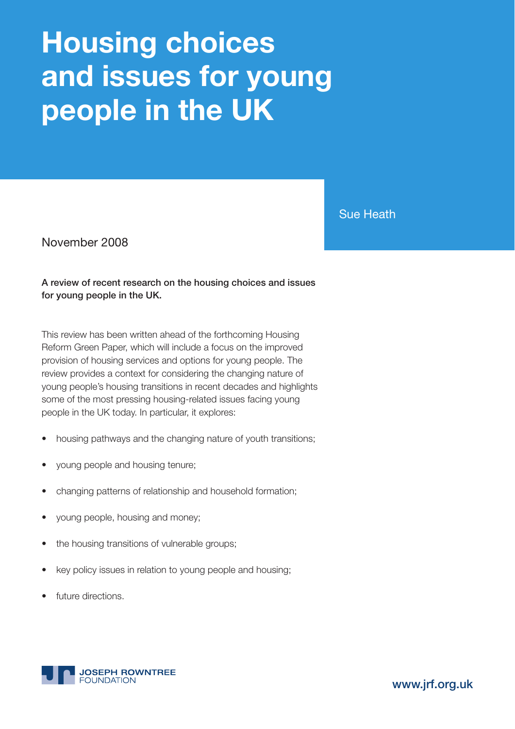# **Housing choices and issues for young people in the UK**

Sue Heath

November 2008

**A review of recent research on the housing choices and issues for young people in the UK.**

This review has been written ahead of the forthcoming Housing Reform Green Paper, which will include a focus on the improved provision of housing services and options for young people. The review provides a context for considering the changing nature of young people's housing transitions in recent decades and highlights some of the most pressing housing-related issues facing young people in the UK today. In particular, it explores:

- housing pathways and the changing nature of youth transitions;
- young people and housing tenure;
- changing patterns of relationship and household formation;
- young people, housing and money;
- the housing transitions of vulnerable groups;
- key policy issues in relation to young people and housing;
- future directions.



**www.jrf.org.uk**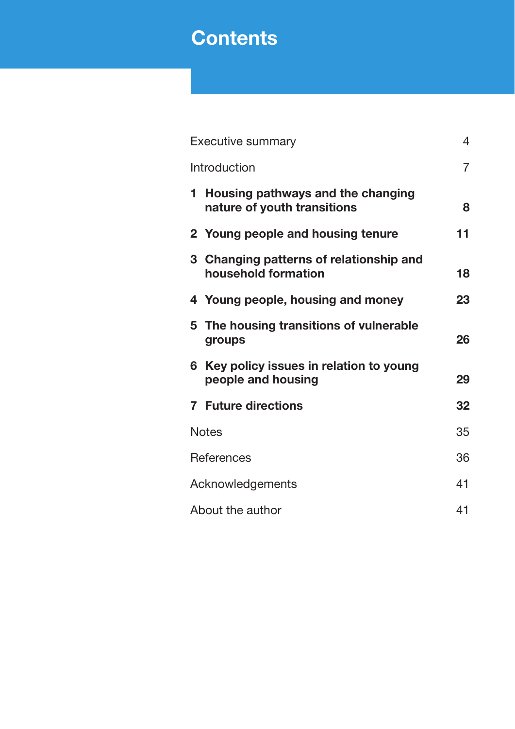# **Contents**

|                   | <b>Executive summary</b>                                         | $\overline{4}$ |  |
|-------------------|------------------------------------------------------------------|----------------|--|
|                   | Introduction                                                     | $\overline{7}$ |  |
| 1.                | Housing pathways and the changing<br>nature of youth transitions | 8              |  |
|                   | 2 Young people and housing tenure                                | 11             |  |
|                   | 3 Changing patterns of relationship and<br>household formation   | 18             |  |
|                   | 4 Young people, housing and money                                | 23             |  |
|                   | 5 The housing transitions of vulnerable<br>groups                | 26             |  |
| 6                 | Key policy issues in relation to young<br>people and housing     | 29             |  |
|                   | <b>7</b> Future directions                                       | 32             |  |
| <b>Notes</b>      |                                                                  | 35             |  |
| <b>References</b> |                                                                  |                |  |
| Acknowledgements  |                                                                  |                |  |
| About the author  |                                                                  |                |  |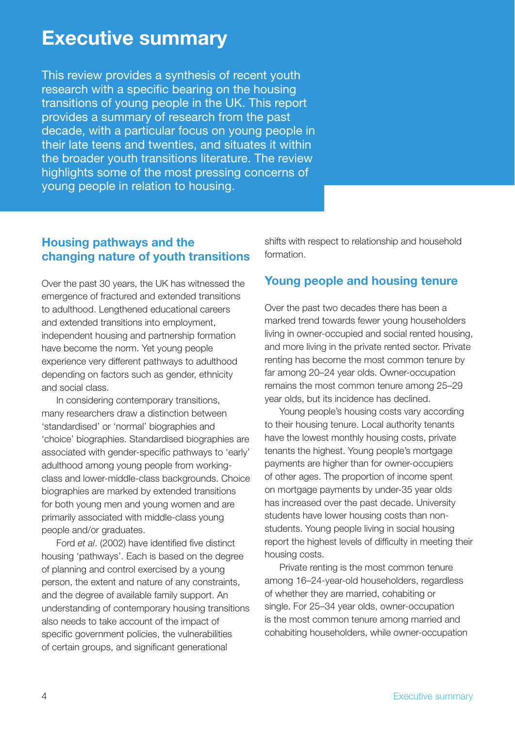# **Executive summary**

This review provides a synthesis of recent youth research with a specific bearing on the housing transitions of young people in the UK. This report provides a summary of research from the past decade, with a particular focus on young people in their late teens and twenties, and situates it within the broader youth transitions literature. The review highlights some of the most pressing concerns of young people in relation to housing.

### **Housing pathways and the changing nature of youth transitions**

Over the past 30 years, the UK has witnessed the emergence of fractured and extended transitions to adulthood. Lengthened educational careers and extended transitions into employment, independent housing and partnership formation have become the norm. Yet young people experience very different pathways to adulthood depending on factors such as gender, ethnicity and social class.

In considering contemporary transitions, many researchers draw a distinction between 'standardised' or 'normal' biographies and 'choice' biographies. Standardised biographies are associated with gender-specific pathways to 'early' adulthood among young people from workingclass and lower-middle-class backgrounds. Choice biographies are marked by extended transitions for both young men and young women and are primarily associated with middle-class young people and/or graduates.

Ford *et al.* (2002) have identified five distinct housing 'pathways'. Each is based on the degree of planning and control exercised by a young person, the extent and nature of any constraints, and the degree of available family support. An understanding of contemporary housing transitions also needs to take account of the impact of specific government policies, the vulnerabilities of certain groups, and significant generational

shifts with respect to relationship and household formation.

# **Young people and housing tenure**

Over the past two decades there has been a marked trend towards fewer young householders living in owner-occupied and social rented housing, and more living in the private rented sector. Private renting has become the most common tenure by far among 20–24 year olds. Owner-occupation remains the most common tenure among 25–29 year olds, but its incidence has declined.

Young people's housing costs vary according to their housing tenure. Local authority tenants have the lowest monthly housing costs, private tenants the highest. Young people's mortgage payments are higher than for owner-occupiers of other ages. The proportion of income spent on mortgage payments by under-35 year olds has increased over the past decade. University students have lower housing costs than nonstudents. Young people living in social housing report the highest levels of difficulty in meeting their housing costs.

Private renting is the most common tenure among 16–24-year-old householders, regardless of whether they are married, cohabiting or single. For 25–34 year olds, owner-occupation is the most common tenure among married and cohabiting householders, while owner-occupation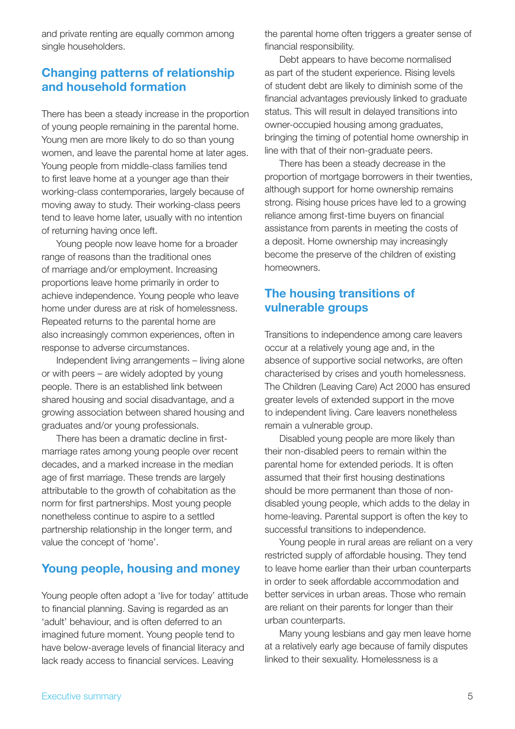and private renting are equally common among single householders.

#### **Changing patterns of relationship and household formation**

There has been a steady increase in the proportion of young people remaining in the parental home. Young men are more likely to do so than young women, and leave the parental home at later ages. Young people from middle-class families tend to first leave home at a younger age than their working-class contemporaries, largely because of moving away to study. Their working-class peers tend to leave home later, usually with no intention of returning having once left.

Young people now leave home for a broader range of reasons than the traditional ones of marriage and/or employment. Increasing proportions leave home primarily in order to achieve independence. Young people who leave home under duress are at risk of homelessness. Repeated returns to the parental home are also increasingly common experiences, often in response to adverse circumstances.

Independent living arrangements – living alone or with peers – are widely adopted by young people. There is an established link between shared housing and social disadvantage, and a growing association between shared housing and graduates and/or young professionals.

There has been a dramatic decline in firstmarriage rates among young people over recent decades, and a marked increase in the median age of first marriage. These trends are largely attributable to the growth of cohabitation as the norm for first partnerships. Most young people nonetheless continue to aspire to a settled partnership relationship in the longer term, and value the concept of 'home'.

#### **Young people, housing and money**

Young people often adopt a 'live for today' attitude to financial planning. Saving is regarded as an 'adult' behaviour, and is often deferred to an imagined future moment. Young people tend to have below-average levels of financial literacy and lack ready access to financial services. Leaving

the parental home often triggers a greater sense of financial responsibility.

Debt appears to have become normalised as part of the student experience. Rising levels of student debt are likely to diminish some of the financial advantages previously linked to graduate status. This will result in delayed transitions into owner-occupied housing among graduates, bringing the timing of potential home ownership in line with that of their non-graduate peers.

There has been a steady decrease in the proportion of mortgage borrowers in their twenties, although support for home ownership remains strong. Rising house prices have led to a growing reliance among first-time buyers on financial assistance from parents in meeting the costs of a deposit. Home ownership may increasingly become the preserve of the children of existing homeowners.

#### **The housing transitions of vulnerable groups**

Transitions to independence among care leavers occur at a relatively young age and, in the absence of supportive social networks, are often characterised by crises and youth homelessness. The Children (Leaving Care) Act 2000 has ensured greater levels of extended support in the move to independent living. Care leavers nonetheless remain a vulnerable group.

Disabled young people are more likely than their non-disabled peers to remain within the parental home for extended periods. It is often assumed that their first housing destinations should be more permanent than those of nondisabled young people, which adds to the delay in home-leaving. Parental support is often the key to successful transitions to independence.

Young people in rural areas are reliant on a very restricted supply of affordable housing. They tend to leave home earlier than their urban counterparts in order to seek affordable accommodation and better services in urban areas. Those who remain are reliant on their parents for longer than their urban counterparts.

Many young lesbians and gay men leave home at a relatively early age because of family disputes linked to their sexuality. Homelessness is a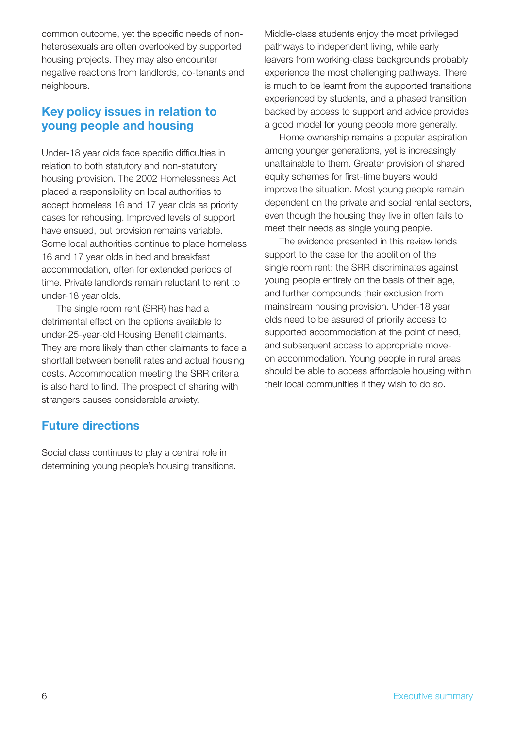common outcome, yet the specific needs of nonheterosexuals are often overlooked by supported housing projects. They may also encounter negative reactions from landlords, co-tenants and neighbours.

# **Key policy issues in relation to young people and housing**

Under-18 year olds face specific difficulties in relation to both statutory and non-statutory housing provision. The 2002 Homelessness Act placed a responsibility on local authorities to accept homeless 16 and 17 year olds as priority cases for rehousing. Improved levels of support have ensued, but provision remains variable. Some local authorities continue to place homeless 16 and 17 year olds in bed and breakfast accommodation, often for extended periods of time. Private landlords remain reluctant to rent to under-18 year olds.

The single room rent (SRR) has had a detrimental effect on the options available to under-25-year-old Housing Benefit claimants. They are more likely than other claimants to face a shortfall between benefit rates and actual housing costs. Accommodation meeting the SRR criteria is also hard to find. The prospect of sharing with strangers causes considerable anxiety.

#### **Future directions**

Social class continues to play a central role in determining young people's housing transitions. Middle-class students enjoy the most privileged pathways to independent living, while early leavers from working-class backgrounds probably experience the most challenging pathways. There is much to be learnt from the supported transitions experienced by students, and a phased transition backed by access to support and advice provides a good model for young people more generally.

Home ownership remains a popular aspiration among younger generations, yet is increasingly unattainable to them. Greater provision of shared equity schemes for first-time buyers would improve the situation. Most young people remain dependent on the private and social rental sectors, even though the housing they live in often fails to meet their needs as single young people.

The evidence presented in this review lends support to the case for the abolition of the single room rent: the SRR discriminates against young people entirely on the basis of their age, and further compounds their exclusion from mainstream housing provision. Under-18 year olds need to be assured of priority access to supported accommodation at the point of need, and subsequent access to appropriate moveon accommodation. Young people in rural areas should be able to access affordable housing within their local communities if they wish to do so.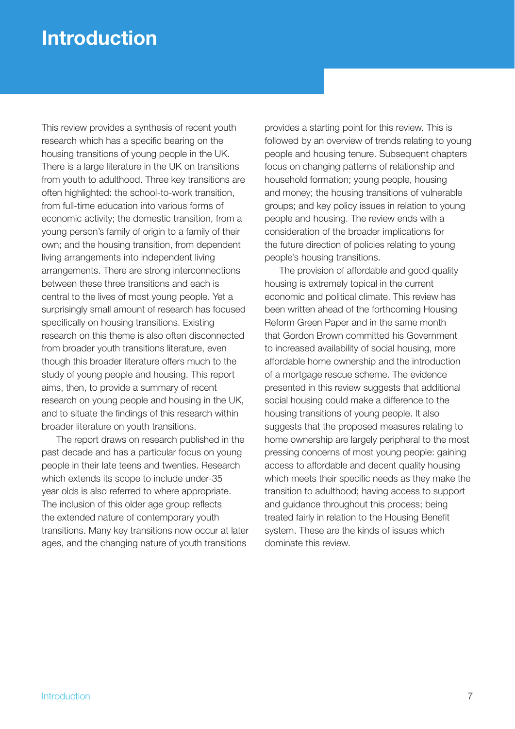# **Introduction**

This review provides a synthesis of recent youth research which has a specific bearing on the housing transitions of young people in the UK. There is a large literature in the UK on transitions from youth to adulthood. Three key transitions are often highlighted: the school-to-work transition, from full-time education into various forms of economic activity; the domestic transition, from a young person's family of origin to a family of their own; and the housing transition, from dependent living arrangements into independent living arrangements. There are strong interconnections between these three transitions and each is central to the lives of most young people. Yet a surprisingly small amount of research has focused specifically on housing transitions. Existing research on this theme is also often disconnected from broader youth transitions literature, even though this broader literature offers much to the study of young people and housing. This report aims, then, to provide a summary of recent research on young people and housing in the UK, and to situate the findings of this research within broader literature on youth transitions.

The report draws on research published in the past decade and has a particular focus on young people in their late teens and twenties. Research which extends its scope to include under-35 year olds is also referred to where appropriate. The inclusion of this older age group reflects the extended nature of contemporary youth transitions. Many key transitions now occur at later ages, and the changing nature of youth transitions

provides a starting point for this review. This is followed by an overview of trends relating to young people and housing tenure. Subsequent chapters focus on changing patterns of relationship and household formation; young people, housing and money; the housing transitions of vulnerable groups; and key policy issues in relation to young people and housing. The review ends with a consideration of the broader implications for the future direction of policies relating to young people's housing transitions.

The provision of affordable and good quality housing is extremely topical in the current economic and political climate. This review has been written ahead of the forthcoming Housing Reform Green Paper and in the same month that Gordon Brown committed his Government to increased availability of social housing, more affordable home ownership and the introduction of a mortgage rescue scheme. The evidence presented in this review suggests that additional social housing could make a difference to the housing transitions of young people. It also suggests that the proposed measures relating to home ownership are largely peripheral to the most pressing concerns of most young people: gaining access to affordable and decent quality housing which meets their specific needs as they make the transition to adulthood; having access to support and guidance throughout this process; being treated fairly in relation to the Housing Benefit system. These are the kinds of issues which dominate this review.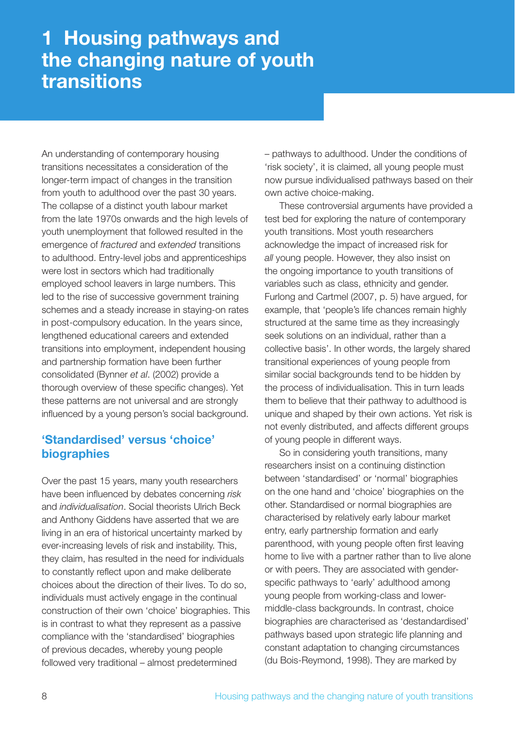# **1 Housing pathways and the changing nature of youth transitions**

An understanding of contemporary housing transitions necessitates a consideration of the longer-term impact of changes in the transition from youth to adulthood over the past 30 years. The collapse of a distinct youth labour market from the late 1970s onwards and the high levels of youth unemployment that followed resulted in the emergence of *fractured* and *extended* transitions to adulthood. Entry-level jobs and apprenticeships were lost in sectors which had traditionally employed school leavers in large numbers. This led to the rise of successive government training schemes and a steady increase in staying-on rates in post-compulsory education. In the years since, lengthened educational careers and extended transitions into employment, independent housing and partnership formation have been further consolidated (Bynner *et al*. (2002) provide a thorough overview of these specific changes). Yet these patterns are not universal and are strongly influenced by a young person's social background.

# **'Standardised' versus 'choice' biographies**

Over the past 15 years, many youth researchers have been influenced by debates concerning *risk* and *individualisation*. Social theorists Ulrich Beck and Anthony Giddens have asserted that we are living in an era of historical uncertainty marked by ever-increasing levels of risk and instability. This, they claim, has resulted in the need for individuals to constantly reflect upon and make deliberate choices about the direction of their lives. To do so, individuals must actively engage in the continual construction of their own 'choice' biographies. This is in contrast to what they represent as a passive compliance with the 'standardised' biographies of previous decades, whereby young people followed very traditional – almost predetermined

– pathways to adulthood. Under the conditions of 'risk society', it is claimed, all young people must now pursue individualised pathways based on their own active choice-making.

These controversial arguments have provided a test bed for exploring the nature of contemporary youth transitions. Most youth researchers acknowledge the impact of increased risk for *all* young people. However, they also insist on the ongoing importance to youth transitions of variables such as class, ethnicity and gender. Furlong and Cartmel (2007, p. 5) have argued, for example, that 'people's life chances remain highly structured at the same time as they increasingly seek solutions on an individual, rather than a collective basis'. In other words, the largely shared transitional experiences of young people from similar social backgrounds tend to be hidden by the process of individualisation. This in turn leads them to believe that their pathway to adulthood is unique and shaped by their own actions. Yet risk is not evenly distributed, and affects different groups of young people in different ways.

So in considering youth transitions, many researchers insist on a continuing distinction between 'standardised' or 'normal' biographies on the one hand and 'choice' biographies on the other. Standardised or normal biographies are characterised by relatively early labour market entry, early partnership formation and early parenthood, with young people often first leaving home to live with a partner rather than to live alone or with peers. They are associated with genderspecific pathways to 'early' adulthood among young people from working-class and lowermiddle-class backgrounds. In contrast, choice biographies are characterised as 'destandardised' pathways based upon strategic life planning and constant adaptation to changing circumstances (du Bois-Reymond, 1998). They are marked by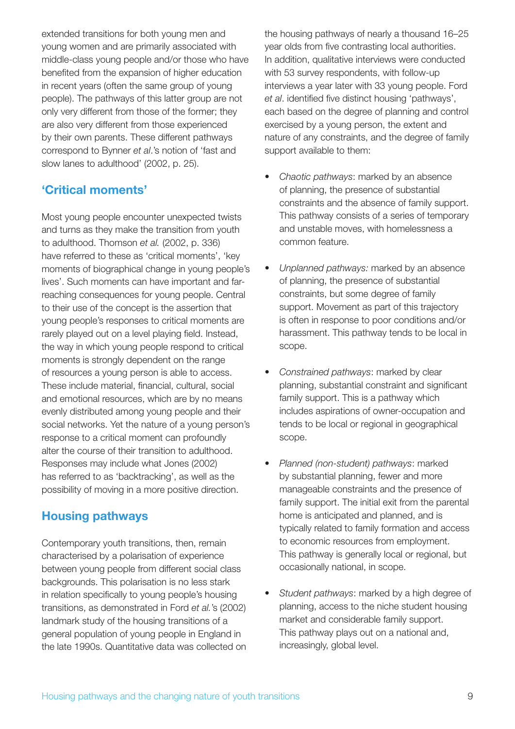extended transitions for both young men and young women and are primarily associated with middle-class young people and/or those who have benefited from the expansion of higher education in recent years (often the same group of young people). The pathways of this latter group are not only very different from those of the former; they are also very different from those experienced by their own parents. These different pathways correspond to Bynner *et al*.'s notion of 'fast and slow lanes to adulthood' (2002, p. 25).

# **'Critical moments'**

Most young people encounter unexpected twists and turns as they make the transition from youth to adulthood. Thomson *et al.* (2002, p. 336) have referred to these as 'critical moments', 'key moments of biographical change in young people's lives'. Such moments can have important and farreaching consequences for young people. Central to their use of the concept is the assertion that young people's responses to critical moments are rarely played out on a level playing field. Instead, the way in which young people respond to critical moments is strongly dependent on the range of resources a young person is able to access. These include material, financial, cultural, social and emotional resources, which are by no means evenly distributed among young people and their social networks. Yet the nature of a young person's response to a critical moment can profoundly alter the course of their transition to adulthood. Responses may include what Jones (2002) has referred to as 'backtracking', as well as the possibility of moving in a more positive direction.

#### **Housing pathways**

Contemporary youth transitions, then, remain characterised by a polarisation of experience between young people from different social class backgrounds. This polarisation is no less stark in relation specifically to young people's housing transitions, as demonstrated in Ford *et al.*'s (2002) landmark study of the housing transitions of a general population of young people in England in the late 1990s. Quantitative data was collected on

the housing pathways of nearly a thousand 16–25 year olds from five contrasting local authorities. In addition, qualitative interviews were conducted with 53 survey respondents, with follow-up interviews a year later with 33 young people. Ford *et al.* identified five distinct housing 'pathways', each based on the degree of planning and control exercised by a young person, the extent and nature of any constraints, and the degree of family support available to them:

- *Chaotic pathways*: marked by an absence of planning, the presence of substantial constraints and the absence of family support. This pathway consists of a series of temporary and unstable moves, with homelessness a common feature.
- *Unplanned pathways:* marked by an absence of planning, the presence of substantial constraints, but some degree of family support. Movement as part of this trajectory is often in response to poor conditions and/or harassment. This pathway tends to be local in scope.
- *Constrained pathways*: marked by clear planning, substantial constraint and significant family support. This is a pathway which includes aspirations of owner-occupation and tends to be local or regional in geographical scope.
- *Planned (non-student) pathways*: marked by substantial planning, fewer and more manageable constraints and the presence of family support. The initial exit from the parental home is anticipated and planned, and is typically related to family formation and access to economic resources from employment. This pathway is generally local or regional, but occasionally national, in scope.
- *Student pathways*: marked by a high degree of planning, access to the niche student housing market and considerable family support. This pathway plays out on a national and, increasingly, global level.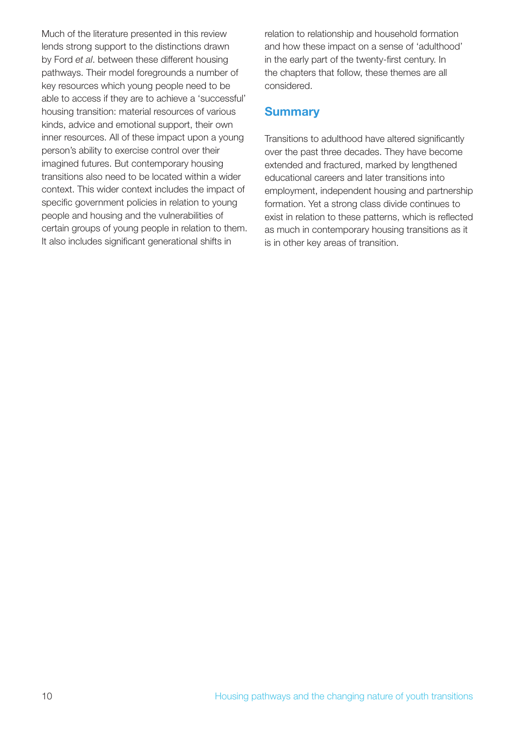Much of the literature presented in this review lends strong support to the distinctions drawn by Ford *et al*. between these different housing pathways. Their model foregrounds a number of key resources which young people need to be able to access if they are to achieve a 'successful' housing transition: material resources of various kinds, advice and emotional support, their own inner resources. All of these impact upon a young person's ability to exercise control over their imagined futures. But contemporary housing transitions also need to be located within a wider context. This wider context includes the impact of specific government policies in relation to young people and housing and the vulnerabilities of certain groups of young people in relation to them. It also includes significant generational shifts in

relation to relationship and household formation and how these impact on a sense of 'adulthood' in the early part of the twenty-first century. In the chapters that follow, these themes are all considered.

#### **Summary**

Transitions to adulthood have altered significantly over the past three decades. They have become extended and fractured, marked by lengthened educational careers and later transitions into employment, independent housing and partnership formation. Yet a strong class divide continues to exist in relation to these patterns, which is reflected as much in contemporary housing transitions as it is in other key areas of transition.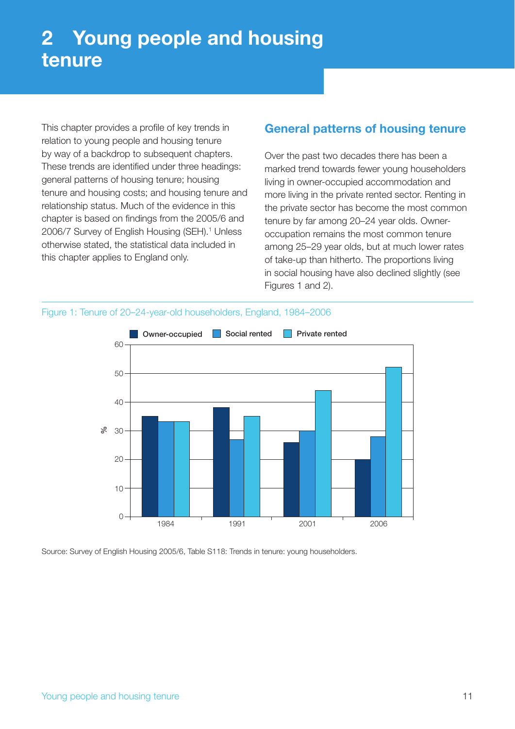This chapter provides a profile of key trends in relation to young people and housing tenure by way of a backdrop to subsequent chapters. These trends are identified under three headings: general patterns of housing tenure; housing tenure and housing costs; and housing tenure and relationship status. Much of the evidence in this chapter is based on findings from the 2005/6 and 2006/7 Survey of English Housing (SEH).<sup>1</sup> Unless otherwise stated, the statistical data included in this chapter applies to England only.

# **General patterns of housing tenure**

Over the past two decades there has been a marked trend towards fewer young householders living in owner-occupied accommodation and more living in the private rented sector. Renting in the private sector has become the most common tenure by far among 20–24 year olds. Owneroccupation remains the most common tenure among 25–29 year olds, but at much lower rates of take-up than hitherto. The proportions living in social housing have also declined slightly (see Figures 1 and 2).





Source: Survey of English Housing 2005/6, Table S118: Trends in tenure: young householders.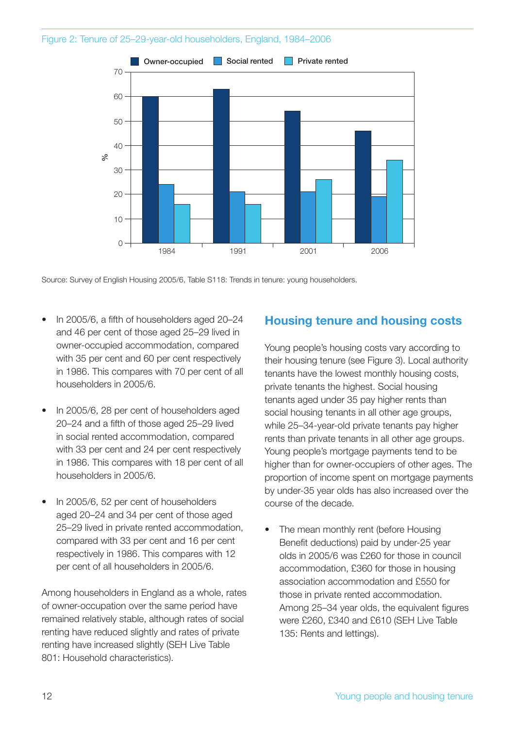#### Figure 2: Tenure of 25–29-year-old householders, England, 1984–2006



Source: Survey of English Housing 2005/6, Table S118: Trends in tenure: young householders.

- In 2005/6, a fifth of householders aged 20-24 and 46 per cent of those aged 25–29 lived in owner-occupied accommodation, compared with 35 per cent and 60 per cent respectively in 1986. This compares with 70 per cent of all householders in 2005/6.
- In 2005/6, 28 per cent of householders aged 20–24 and a fifth of those aged 25–29 lived in social rented accommodation, compared with 33 per cent and 24 per cent respectively in 1986. This compares with 18 per cent of all householders in 2005/6.
- In 2005/6, 52 per cent of householders aged 20–24 and 34 per cent of those aged 25–29 lived in private rented accommodation, compared with 33 per cent and 16 per cent respectively in 1986. This compares with 12 per cent of all householders in 2005/6.

Among householders in England as a whole, rates of owner-occupation over the same period have remained relatively stable, although rates of social renting have reduced slightly and rates of private renting have increased slightly (SEH Live Table 801: Household characteristics).

#### **Housing tenure and housing costs**

Young people's housing costs vary according to their housing tenure (see Figure 3). Local authority tenants have the lowest monthly housing costs, private tenants the highest. Social housing tenants aged under 35 pay higher rents than social housing tenants in all other age groups, while 25–34-year-old private tenants pay higher rents than private tenants in all other age groups. Young people's mortgage payments tend to be higher than for owner-occupiers of other ages. The proportion of income spent on mortgage payments by under-35 year olds has also increased over the course of the decade.

The mean monthly rent (before Housing Benefit deductions) paid by under-25 year olds in 2005/6 was £260 for those in council accommodation, £360 for those in housing association accommodation and £550 for those in private rented accommodation. Among 25-34 year olds, the equivalent figures were £260, £340 and £610 (SEH Live Table 135: Rents and lettings).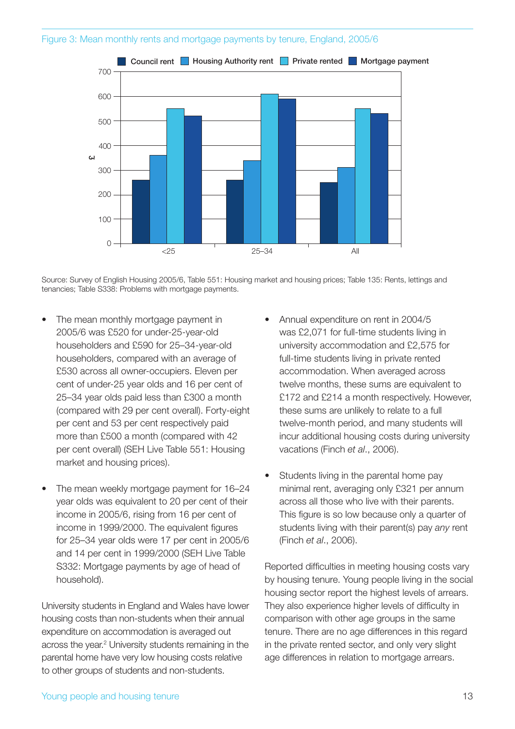#### Figure 3: Mean monthly rents and mortgage payments by tenure, England, 2005/6



Source: Survey of English Housing 2005/6, Table 551: Housing market and housing prices; Table 135: Rents, lettings and tenancies; Table S338: Problems with mortgage payments.

- The mean monthly mortgage payment in 2005/6 was £520 for under-25-year-old householders and £590 for 25–34-year-old householders, compared with an average of £530 across all owner-occupiers. Eleven per cent of under-25 year olds and 16 per cent of 25–34 year olds paid less than £300 a month (compared with 29 per cent overall). Forty-eight per cent and 53 per cent respectively paid more than £500 a month (compared with 42 per cent overall) (SEH Live Table 551: Housing market and housing prices).
- The mean weekly mortgage payment for 16–24 year olds was equivalent to 20 per cent of their income in 2005/6, rising from 16 per cent of income in 1999/2000. The equivalent figures for 25–34 year olds were 17 per cent in 2005/6 and 14 per cent in 1999/2000 (SEH Live Table S332: Mortgage payments by age of head of household).

University students in England and Wales have lower housing costs than non-students when their annual expenditure on accommodation is averaged out across the year.2 University students remaining in the parental home have very low housing costs relative to other groups of students and non-students.

- Annual expenditure on rent in 2004/5 was £2,071 for full-time students living in university accommodation and £2,575 for full-time students living in private rented accommodation. When averaged across twelve months, these sums are equivalent to £172 and £214 a month respectively. However, these sums are unlikely to relate to a full twelve-month period, and many students will incur additional housing costs during university vacations (Finch *et al*., 2006).
- Students living in the parental home pay minimal rent, averaging only £321 per annum across all those who live with their parents. This figure is so low because only a quarter of students living with their parent(s) pay *any* rent (Finch *et al*., 2006).

Reported difficulties in meeting housing costs vary by housing tenure. Young people living in the social housing sector report the highest levels of arrears. They also experience higher levels of difficulty in comparison with other age groups in the same tenure. There are no age differences in this regard in the private rented sector, and only very slight age differences in relation to mortgage arrears.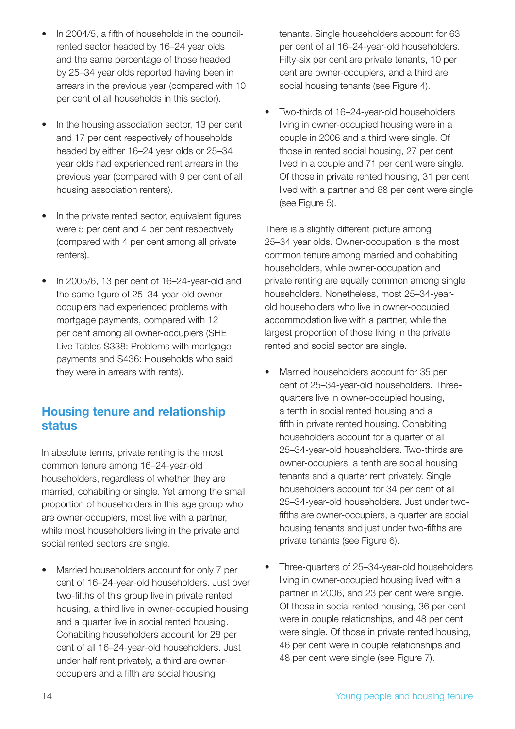- In 2004/5, a fifth of households in the councilrented sector headed by 16–24 year olds and the same percentage of those headed by 25–34 year olds reported having been in arrears in the previous year (compared with 10 per cent of all households in this sector).
- In the housing association sector, 13 per cent and 17 per cent respectively of households headed by either 16–24 year olds or 25–34 year olds had experienced rent arrears in the previous year (compared with 9 per cent of all housing association renters).
- In the private rented sector, equivalent figures were 5 per cent and 4 per cent respectively (compared with 4 per cent among all private renters).
- In 2005/6, 13 per cent of 16–24-year-old and the same figure of 25–34-year-old owneroccupiers had experienced problems with mortgage payments, compared with 12 per cent among all owner-occupiers (SHE Live Tables S338: Problems with mortgage payments and S436: Households who said they were in arrears with rents).

# **Housing tenure and relationship status**

In absolute terms, private renting is the most common tenure among 16–24-year-old householders, regardless of whether they are married, cohabiting or single. Yet among the small proportion of householders in this age group who are owner-occupiers, most live with a partner, while most householders living in the private and social rented sectors are single.

• Married householders account for only 7 per cent of 16–24-year-old householders. Just over two-fifths of this group live in private rented housing, a third live in owner-occupied housing and a quarter live in social rented housing. Cohabiting householders account for 28 per cent of all 16–24-year-old householders. Just under half rent privately, a third are owneroccupiers and a fifth are social housing

tenants. Single householders account for 63 per cent of all 16–24-year-old householders. Fifty-six per cent are private tenants, 10 per cent are owner-occupiers, and a third are social housing tenants (see Figure 4).

• Two-thirds of 16–24-year-old householders living in owner-occupied housing were in a couple in 2006 and a third were single. Of those in rented social housing, 27 per cent lived in a couple and 71 per cent were single. Of those in private rented housing, 31 per cent lived with a partner and 68 per cent were single (see Figure 5).

There is a slightly different picture among 25–34 year olds. Owner-occupation is the most common tenure among married and cohabiting householders, while owner-occupation and private renting are equally common among single householders. Nonetheless, most 25–34-yearold householders who live in owner-occupied accommodation live with a partner, while the largest proportion of those living in the private rented and social sector are single.

- Married householders account for 35 per cent of 25–34-year-old householders. Threequarters live in owner-occupied housing, a tenth in social rented housing and a fifth in private rented housing. Cohabiting householders account for a quarter of all 25–34-year-old householders. Two-thirds are owner-occupiers, a tenth are social housing tenants and a quarter rent privately. Single householders account for 34 per cent of all 25–34-year-old householders. Just under twofifths are owner-occupiers, a quarter are social housing tenants and just under two-fifths are private tenants (see Figure 6).
- Three-quarters of 25–34-year-old householders living in owner-occupied housing lived with a partner in 2006, and 23 per cent were single. Of those in social rented housing, 36 per cent were in couple relationships, and 48 per cent were single. Of those in private rented housing, 46 per cent were in couple relationships and 48 per cent were single (see Figure 7).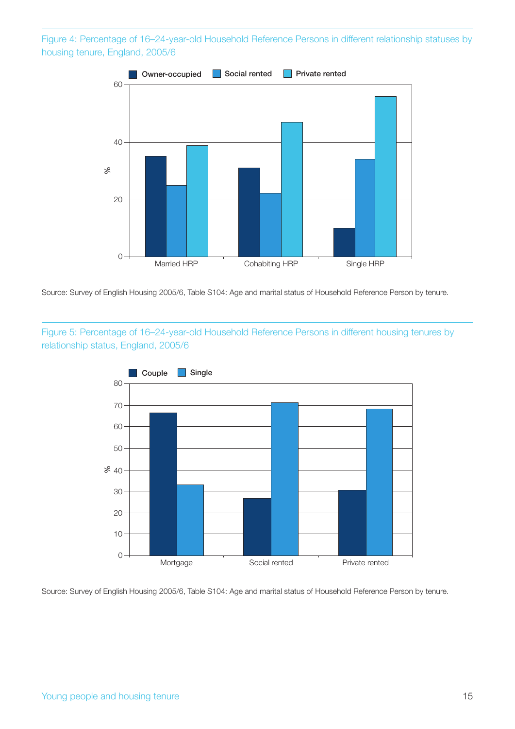Figure 4: Percentage of 16–24-year-old Household Reference Persons in different relationship statuses by housing tenure, England, 2005/6



Source: Survey of English Housing 2005/6, Table S104: Age and marital status of Household Reference Person by tenure.

Figure 5: Percentage of 16–24-year-old Household Reference Persons in different housing tenures by relationship status, England, 2005/6



Source: Survey of English Housing 2005/6, Table S104: Age and marital status of Household Reference Person by tenure.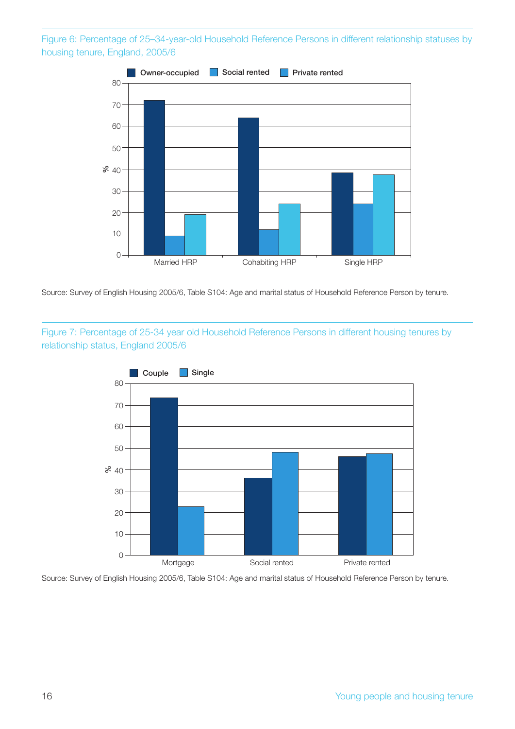Figure 6: Percentage of 25–34-year-old Household Reference Persons in different relationship statuses by housing tenure, England, 2005/6



Source: Survey of English Housing 2005/6, Table S104: Age and marital status of Household Reference Person by tenure.

Figure 7: Percentage of 25-34 year old Household Reference Persons in different housing tenures by relationship status, England 2005/6



Source: Survey of English Housing 2005/6, Table S104: Age and marital status of Household Reference Person by tenure.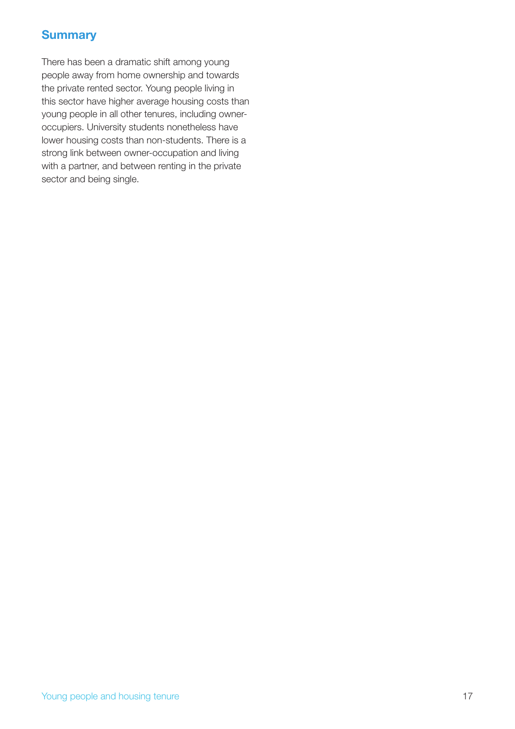# **Summary**

There has been a dramatic shift among young people away from home ownership and towards the private rented sector. Young people living in this sector have higher average housing costs than young people in all other tenures, including owneroccupiers. University students nonetheless have lower housing costs than non-students. There is a strong link between owner-occupation and living with a partner, and between renting in the private sector and being single.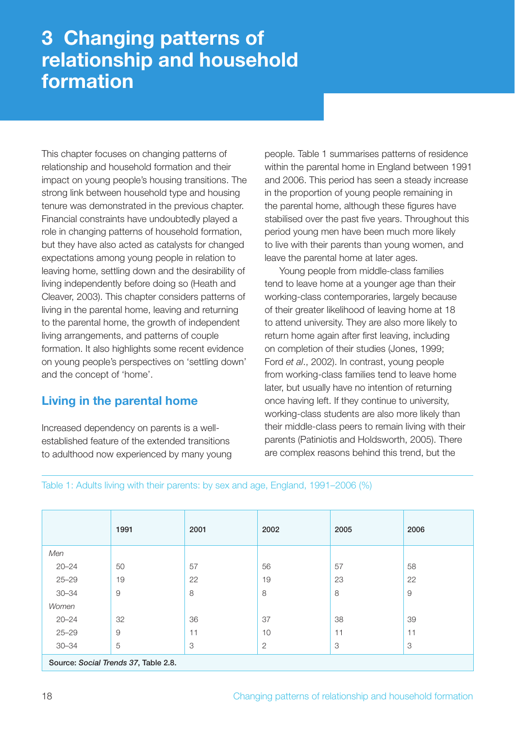# **3 Changing patterns of relationship and household formation**

This chapter focuses on changing patterns of relationship and household formation and their impact on young people's housing transitions. The strong link between household type and housing tenure was demonstrated in the previous chapter. Financial constraints have undoubtedly played a role in changing patterns of household formation, but they have also acted as catalysts for changed expectations among young people in relation to leaving home, settling down and the desirability of living independently before doing so (Heath and Cleaver, 2003). This chapter considers patterns of living in the parental home, leaving and returning to the parental home, the growth of independent living arrangements, and patterns of couple formation. It also highlights some recent evidence on young people's perspectives on 'settling down' and the concept of 'home'.

# **Living in the parental home**

Increased dependency on parents is a wellestablished feature of the extended transitions to adulthood now experienced by many young people. Table 1 summarises patterns of residence within the parental home in England between 1991 and 2006. This period has seen a steady increase in the proportion of young people remaining in the parental home, although these figures have stabilised over the past five years. Throughout this period young men have been much more likely to live with their parents than young women, and leave the parental home at later ages.

Young people from middle-class families tend to leave home at a younger age than their working-class contemporaries, largely because of their greater likelihood of leaving home at 18 to attend university. They are also more likely to return home again after first leaving, including on completion of their studies (Jones, 1999; Ford *et al*., 2002). In contrast, young people from working-class families tend to leave home later, but usually have no intention of returning once having left. If they continue to university, working-class students are also more likely than their middle-class peers to remain living with their parents (Patiniotis and Holdsworth, 2005). There are complex reasons behind this trend, but the

Table 1: Adults living with their parents: by sex and age, England, 1991–2006 (%)

|                                      | 1991 | 2001 | 2002         | 2005 | 2006                |  |  |  |
|--------------------------------------|------|------|--------------|------|---------------------|--|--|--|
| Men                                  |      |      |              |      |                     |  |  |  |
| $20 - 24$                            | 50   | 57   | 56           | 57   | 58                  |  |  |  |
| $25 - 29$                            | 19   | 22   | 19           | 23   | 22                  |  |  |  |
| $30 - 34$                            | 9    | 8    | 8            | 8    | $\mathcal{G}% _{0}$ |  |  |  |
| Women                                |      |      |              |      |                     |  |  |  |
| $20 - 24$                            | 32   | 36   | 37           | 38   | 39                  |  |  |  |
| $25 - 29$                            | 9    | 11   | 10           | 11   | 11                  |  |  |  |
| $30 - 34$                            | 5    | 3    | $\mathbf{2}$ | 3    | 3                   |  |  |  |
| Source: Social Trends 37, Table 2.8. |      |      |              |      |                     |  |  |  |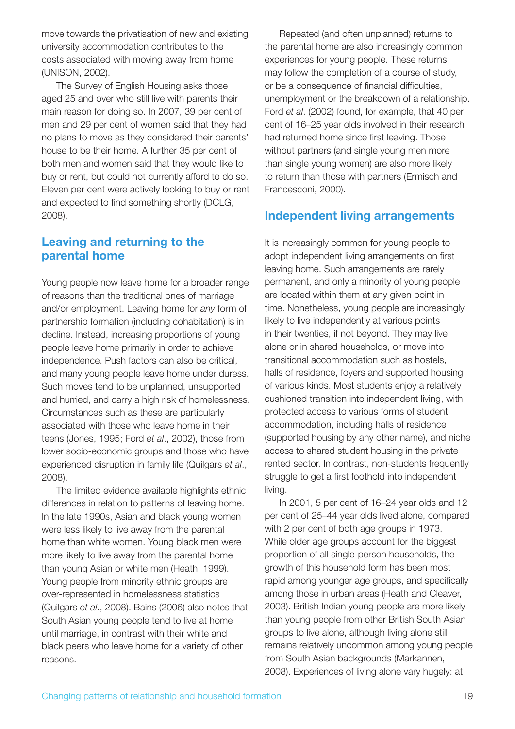move towards the privatisation of new and existing university accommodation contributes to the costs associated with moving away from home (UNISON, 2002).

The Survey of English Housing asks those aged 25 and over who still live with parents their main reason for doing so. In 2007, 39 per cent of men and 29 per cent of women said that they had no plans to move as they considered their parents' house to be their home. A further 35 per cent of both men and women said that they would like to buy or rent, but could not currently afford to do so. Eleven per cent were actively looking to buy or rent and expected to find something shortly (DCLG, 2008).

#### **Leaving and returning to the parental home**

Young people now leave home for a broader range of reasons than the traditional ones of marriage and/or employment. Leaving home for *any* form of partnership formation (including cohabitation) is in decline. Instead, increasing proportions of young people leave home primarily in order to achieve independence. Push factors can also be critical, and many young people leave home under duress. Such moves tend to be unplanned, unsupported and hurried, and carry a high risk of homelessness. Circumstances such as these are particularly associated with those who leave home in their teens (Jones, 1995; Ford *et al*., 2002), those from lower socio-economic groups and those who have experienced disruption in family life (Quilgars *et al*., 2008).

The limited evidence available highlights ethnic differences in relation to patterns of leaving home. In the late 1990s, Asian and black young women were less likely to live away from the parental home than white women. Young black men were more likely to live away from the parental home than young Asian or white men (Heath, 1999). Young people from minority ethnic groups are over-represented in homelessness statistics (Quilgars *et al*., 2008). Bains (2006) also notes that South Asian young people tend to live at home until marriage, in contrast with their white and black peers who leave home for a variety of other reasons.

Repeated (and often unplanned) returns to the parental home are also increasingly common experiences for young people. These returns may follow the completion of a course of study, or be a consequence of financial difficulties, unemployment or the breakdown of a relationship. Ford *et al*. (2002) found, for example, that 40 per cent of 16–25 year olds involved in their research had returned home since first leaving. Those without partners (and single young men more than single young women) are also more likely to return than those with partners (Ermisch and Francesconi, 2000).

# **Independent living arrangements**

It is increasingly common for young people to adopt independent living arrangements on first leaving home. Such arrangements are rarely permanent, and only a minority of young people are located within them at any given point in time. Nonetheless, young people are increasingly likely to live independently at various points in their twenties, if not beyond. They may live alone or in shared households, or move into transitional accommodation such as hostels, halls of residence, foyers and supported housing of various kinds. Most students enjoy a relatively cushioned transition into independent living, with protected access to various forms of student accommodation, including halls of residence (supported housing by any other name), and niche access to shared student housing in the private rented sector. In contrast, non-students frequently struggle to get a first foothold into independent living.

In 2001, 5 per cent of 16–24 year olds and 12 per cent of 25–44 year olds lived alone, compared with 2 per cent of both age groups in 1973. While older age groups account for the biggest proportion of all single-person households, the growth of this household form has been most rapid among younger age groups, and specifically among those in urban areas (Heath and Cleaver, 2003). British Indian young people are more likely than young people from other British South Asian groups to live alone, although living alone still remains relatively uncommon among young people from South Asian backgrounds (Markannen, 2008). Experiences of living alone vary hugely: at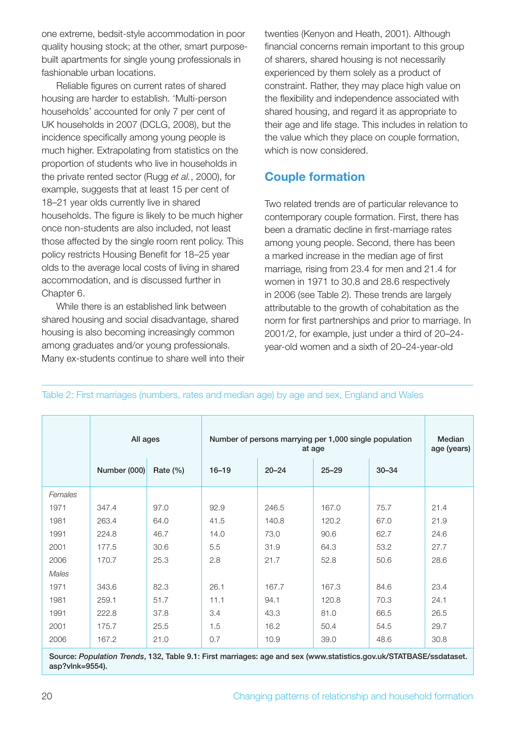one extreme, bedsit-style accommodation in poor quality housing stock; at the other, smart purposebuilt apartments for single young professionals in fashionable urban locations.

Reliable figures on current rates of shared housing are harder to establish. 'Multi-person households' accounted for only 7 per cent of UK households in 2007 (DCLG, 2008), but the incidence specifically among young people is much higher. Extrapolating from statistics on the proportion of students who live in households in the private rented sector (Rugg *et al.*, 2000), for example, suggests that at least 15 per cent of 18–21 year olds currently live in shared households. The figure is likely to be much higher once non-students are also included, not least those affected by the single room rent policy. This policy restricts Housing Benefit for 18–25 year olds to the average local costs of living in shared accommodation, and is discussed further in Chapter 6.

While there is an established link between shared housing and social disadvantage, shared housing is also becoming increasingly common among graduates and/or young professionals. Many ex-students continue to share well into their twenties (Kenyon and Heath, 2001). Although financial concerns remain important to this group of sharers, shared housing is not necessarily experienced by them solely as a product of constraint. Rather, they may place high value on the flexibility and independence associated with shared housing, and regard it as appropriate to their age and life stage. This includes in relation to the value which they place on couple formation, which is now considered.

# **Couple formation**

Two related trends are of particular relevance to contemporary couple formation. First, there has been a dramatic decline in first-marriage rates among young people. Second, there has been a marked increase in the median age of first marriage*,* rising from 23.4 for men and 21.4 for women in 1971 to 30.8 and 28.6 respectively in 2006 (see Table 2). These trends are largely attributable to the growth of cohabitation as the norm for first partnerships and prior to marriage. In 2001/2, for example, just under a third of 20–24 year-old women and a sixth of 20–24-year-old

|         | All ages     |              | Number of persons marrying per 1,000 single population<br>at age |           |           |           | Median<br>age (years) |
|---------|--------------|--------------|------------------------------------------------------------------|-----------|-----------|-----------|-----------------------|
|         | Number (000) | Rate $(\% )$ | $16 - 19$                                                        | $20 - 24$ | $25 - 29$ | $30 - 34$ |                       |
| Females |              |              |                                                                  |           |           |           |                       |
| 1971    | 347.4        | 97.0         | 92.9                                                             | 246.5     | 167.0     | 75.7      | 21.4                  |
| 1981    | 263.4        | 64.0         | 41.5                                                             | 140.8     | 120.2     | 67.0      | 21.9                  |
| 1991    | 224.8        | 46.7         | 14.0                                                             | 73.0      | 90.6      | 62.7      | 24.6                  |
| 2001    | 177.5        | 30.6         | 5.5                                                              | 31.9      | 64.3      | 53.2      | 27.7                  |
| 2006    | 170.7        | 25.3         | 2.8                                                              | 21.7      | 52.8      | 50.6      | 28.6                  |
| Males   |              |              |                                                                  |           |           |           |                       |
| 1971    | 343.6        | 82.3         | 26.1                                                             | 167.7     | 167.3     | 84.6      | 23.4                  |
| 1981    | 259.1        | 51.7         | 11.1                                                             | 94.1      | 120.8     | 70.3      | 24.1                  |
| 1991    | 222.8        | 37.8         | 3.4                                                              | 43.3      | 81.0      | 66.5      | 26.5                  |
| 2001    | 175.7        | 25.5         | 1.5                                                              | 16.2      | 50.4      | 54.5      | 29.7                  |
| 2006    | 167.2        | 21.0         | 0.7                                                              | 10.9      | 39.0      | 48.6      | 30.8                  |
|         |              |              |                                                                  |           |           |           |                       |

Table 2: First marriages (numbers, rates and median age) by age and sex, England and Wales

**Source:** *Population Trends***, 132, Table 9.1: First marriages: age and sex (www.statistics.gov.uk/STATBASE/ssdataset. asp?vlnk=9554).**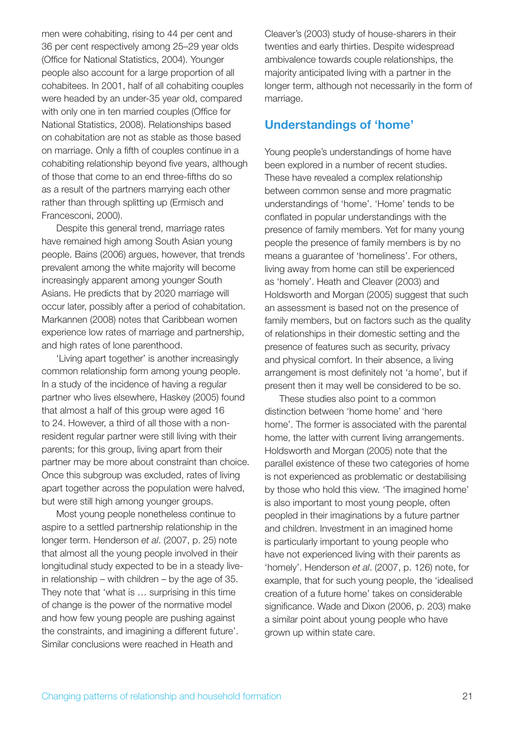men were cohabiting, rising to 44 per cent and 36 per cent respectively among 25–29 year olds (Office for National Statistics, 2004). Younger people also account for a large proportion of all cohabitees. In 2001, half of all cohabiting couples were headed by an under-35 year old, compared with only one in ten married couples (Office for National Statistics, 2008). Relationships based on cohabitation are not as stable as those based on marriage. Only a fifth of couples continue in a cohabiting relationship beyond five years, although of those that come to an end three-fifths do so as a result of the partners marrying each other rather than through splitting up (Ermisch and Francesconi, 2000).

Despite this general trend, marriage rates have remained high among South Asian young people. Bains (2006) argues, however, that trends prevalent among the white majority will become increasingly apparent among younger South Asians. He predicts that by 2020 marriage will occur later, possibly after a period of cohabitation. Markannen (2008) notes that Caribbean women experience low rates of marriage and partnership, and high rates of lone parenthood.

'Living apart together' is another increasingly common relationship form among young people. In a study of the incidence of having a regular partner who lives elsewhere, Haskey (2005) found that almost a half of this group were aged 16 to 24. However, a third of all those with a nonresident regular partner were still living with their parents; for this group, living apart from their partner may be more about constraint than choice. Once this subgroup was excluded, rates of living apart together across the population were halved, but were still high among younger groups.

Most young people nonetheless continue to aspire to a settled partnership relationship in the longer term. Henderson *et al*. (2007, p. 25) note that almost all the young people involved in their longitudinal study expected to be in a steady livein relationship – with children – by the age of 35. They note that 'what is … surprising in this time of change is the power of the normative model and how few young people are pushing against the constraints, and imagining a different future'. Similar conclusions were reached in Heath and

Cleaver's (2003) study of house-sharers in their twenties and early thirties. Despite widespread ambivalence towards couple relationships, the majority anticipated living with a partner in the longer term, although not necessarily in the form of marriage.

# **Understandings of 'home'**

Young people's understandings of home have been explored in a number of recent studies. These have revealed a complex relationship between common sense and more pragmatic understandings of 'home'. 'Home' tends to be conflated in popular understandings with the presence of family members. Yet for many young people the presence of family members is by no means a guarantee of 'homeliness'. For others, living away from home can still be experienced as 'homely'. Heath and Cleaver (2003) and Holdsworth and Morgan (2005) suggest that such an assessment is based not on the presence of family members, but on factors such as the quality of relationships in their domestic setting and the presence of features such as security, privacy and physical comfort. In their absence, a living arrangement is most definitely not 'a home', but if present then it may well be considered to be so.

These studies also point to a common distinction between 'home home' and 'here home'. The former is associated with the parental home, the latter with current living arrangements. Holdsworth and Morgan (2005) note that the parallel existence of these two categories of home is not experienced as problematic or destabilising by those who hold this view. 'The imagined home' is also important to most young people, often peopled in their imaginations by a future partner and children. Investment in an imagined home is particularly important to young people who have not experienced living with their parents as 'homely'. Henderson *et al*. (2007, p. 126) note, for example, that for such young people, the 'idealised creation of a future home' takes on considerable significance. Wade and Dixon (2006, p. 203) make a similar point about young people who have grown up within state care.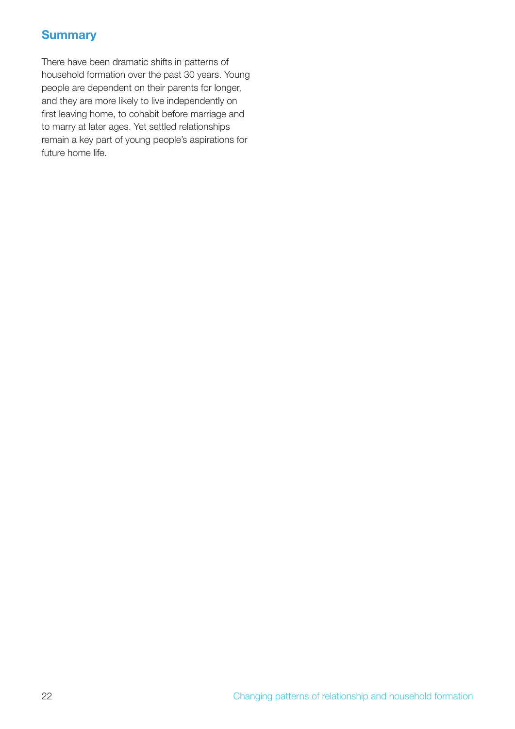# **Summary**

There have been dramatic shifts in patterns of household formation over the past 30 years. Young people are dependent on their parents for longer, and they are more likely to live independently on first leaving home, to cohabit before marriage and to marry at later ages. Yet settled relationships remain a key part of young people's aspirations for future home life.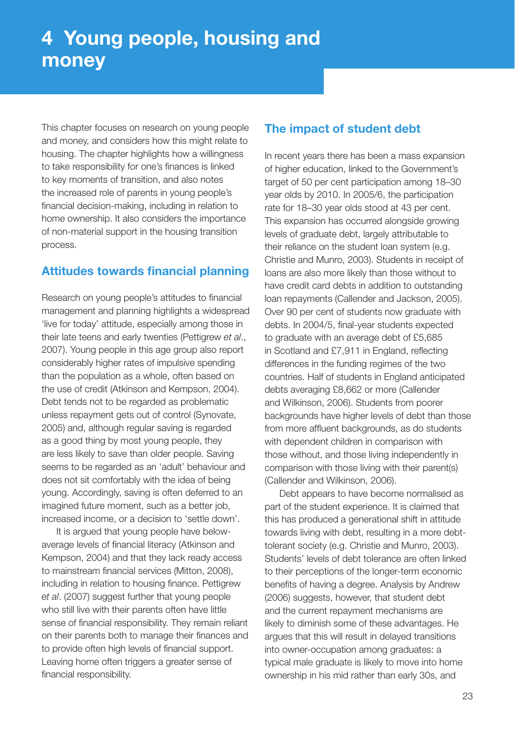This chapter focuses on research on young people and money, and considers how this might relate to housing. The chapter highlights how a willingness to take responsibility for one's finances is linked to key moments of transition, and also notes the increased role of parents in young people's financial decision-making, including in relation to home ownership. It also considers the importance of non-material support in the housing transition process.

#### **Attitudes towards financial planning**

Research on young people's attitudes to financial management and planning highlights a widespread 'live for today' attitude, especially among those in their late teens and early twenties (Pettigrew *et al*., 2007). Young people in this age group also report considerably higher rates of impulsive spending than the population as a whole, often based on the use of credit (Atkinson and Kempson, 2004). Debt tends not to be regarded as problematic unless repayment gets out of control (Synovate, 2005) and, although regular saving is regarded as a good thing by most young people, they are less likely to save than older people. Saving seems to be regarded as an 'adult' behaviour and does not sit comfortably with the idea of being young. Accordingly, saving is often deferred to an imagined future moment, such as a better job, increased income, or a decision to 'settle down'.

It is argued that young people have belowaverage levels of financial literacy (Atkinson and Kempson, 2004) and that they lack ready access to mainstream financial services (Mitton, 2008). including in relation to housing finance. Pettigrew et al. (2007) suggest further that young people who still live with their parents often have little sense of financial responsibility. They remain reliant on their parents both to manage their finances and to provide often high levels of financial support. Leaving home often triggers a greater sense of financial responsibility.

# **The impact of student debt**

In recent years there has been a mass expansion of higher education, linked to the Government's target of 50 per cent participation among 18–30 year olds by 2010. In 2005/6, the participation rate for 18–30 year olds stood at 43 per cent. This expansion has occurred alongside growing levels of graduate debt, largely attributable to their reliance on the student loan system (e.g. Christie and Munro, 2003). Students in receipt of loans are also more likely than those without to have credit card debts in addition to outstanding loan repayments (Callender and Jackson, 2005). Over 90 per cent of students now graduate with debts. In 2004/5, final-year students expected to graduate with an average debt of £5,685 in Scotland and £7,911 in England, reflecting differences in the funding regimes of the two countries. Half of students in England anticipated debts averaging £8,662 or more (Callender and Wilkinson, 2006). Students from poorer backgrounds have higher levels of debt than those from more affluent backgrounds, as do students with dependent children in comparison with those without, and those living independently in comparison with those living with their parent(s) (Callender and Wilkinson, 2006).

Debt appears to have become normalised as part of the student experience. It is claimed that this has produced a generational shift in attitude towards living with debt, resulting in a more debttolerant society (e.g. Christie and Munro, 2003). Students' levels of debt tolerance are often linked to their perceptions of the longer-term economic benefits of having a degree. Analysis by Andrew (2006) suggests, however, that student debt and the current repayment mechanisms are likely to diminish some of these advantages. He argues that this will result in delayed transitions into owner-occupation among graduates: a typical male graduate is likely to move into home ownership in his mid rather than early 30s, and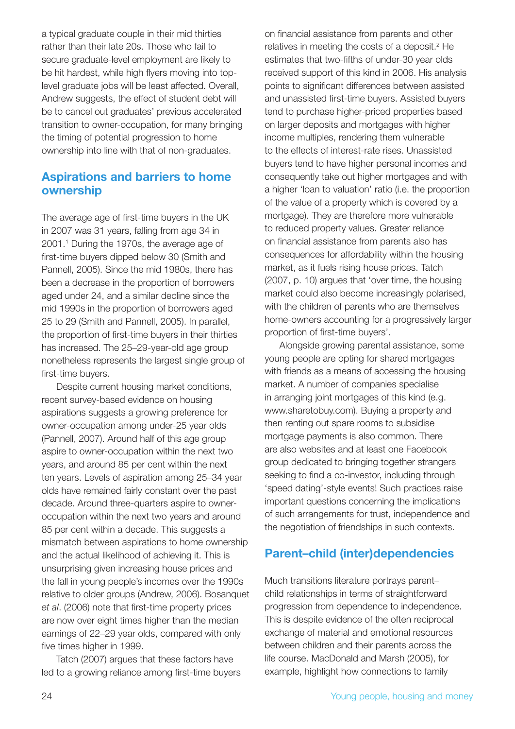a typical graduate couple in their mid thirties rather than their late 20s. Those who fail to secure graduate-level employment are likely to be hit hardest, while high flyers moving into toplevel graduate jobs will be least affected. Overall, Andrew suggests, the effect of student debt will be to cancel out graduates' previous accelerated transition to owner-occupation, for many bringing the timing of potential progression to home ownership into line with that of non-graduates.

#### **Aspirations and barriers to home ownership**

The average age of first-time buyers in the UK in 2007 was 31 years, falling from age 34 in 2001.1 During the 1970s, the average age of first-time buyers dipped below 30 (Smith and Pannell, 2005). Since the mid 1980s, there has been a decrease in the proportion of borrowers aged under 24, and a similar decline since the mid 1990s in the proportion of borrowers aged 25 to 29 (Smith and Pannell, 2005). In parallel, the proportion of first-time buyers in their thirties has increased. The 25–29-year-old age group nonetheless represents the largest single group of first-time buyers.

Despite current housing market conditions, recent survey-based evidence on housing aspirations suggests a growing preference for owner-occupation among under-25 year olds (Pannell, 2007). Around half of this age group aspire to owner-occupation within the next two years, and around 85 per cent within the next ten years. Levels of aspiration among 25–34 year olds have remained fairly constant over the past decade. Around three-quarters aspire to owneroccupation within the next two years and around 85 per cent within a decade. This suggests a mismatch between aspirations to home ownership and the actual likelihood of achieving it. This is unsurprising given increasing house prices and the fall in young people's incomes over the 1990s relative to older groups (Andrew, 2006). Bosanquet *et al.* (2006) note that first-time property prices are now over eight times higher than the median earnings of 22–29 year olds, compared with only five times higher in 1999.

Tatch (2007) argues that these factors have led to a growing reliance among first-time buyers on financial assistance from parents and other relatives in meeting the costs of a deposit.<sup>2</sup> He estimates that two-fifths of under-30 year olds received support of this kind in 2006. His analysis points to significant differences between assisted and unassisted first-time buyers. Assisted buyers tend to purchase higher-priced properties based on larger deposits and mortgages with higher income multiples, rendering them vulnerable to the effects of interest-rate rises. Unassisted buyers tend to have higher personal incomes and consequently take out higher mortgages and with a higher 'loan to valuation' ratio (i.e. the proportion of the value of a property which is covered by a mortgage). They are therefore more vulnerable to reduced property values. Greater reliance on financial assistance from parents also has consequences for affordability within the housing market, as it fuels rising house prices. Tatch (2007, p. 10) argues that 'over time, the housing market could also become increasingly polarised, with the children of parents who are themselves home-owners accounting for a progressively larger proportion of first-time buyers'.

Alongside growing parental assistance, some young people are opting for shared mortgages with friends as a means of accessing the housing market. A number of companies specialise in arranging joint mortgages of this kind (e.g. www.sharetobuy.com). Buying a property and then renting out spare rooms to subsidise mortgage payments is also common. There are also websites and at least one Facebook group dedicated to bringing together strangers seeking to find a co-investor, including through 'speed dating'-style events! Such practices raise important questions concerning the implications of such arrangements for trust, independence and the negotiation of friendships in such contexts.

# **Parent–child (inter)dependencies**

Much transitions literature portrays parent– child relationships in terms of straightforward progression from dependence to independence. This is despite evidence of the often reciprocal exchange of material and emotional resources between children and their parents across the life course. MacDonald and Marsh (2005), for example, highlight how connections to family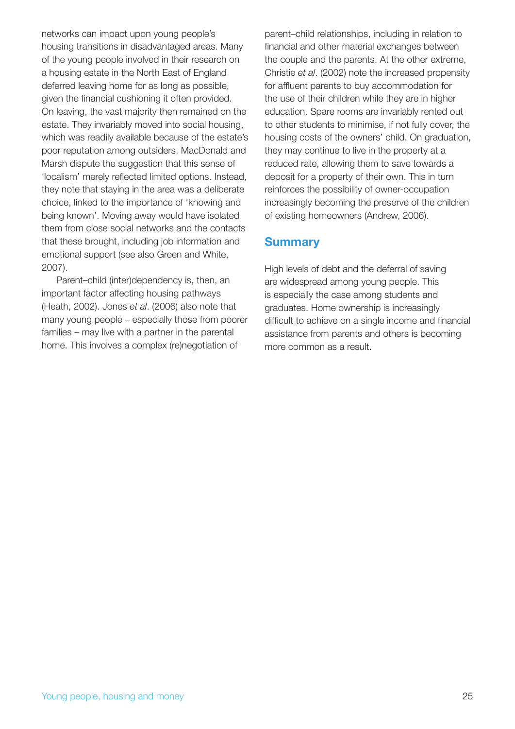networks can impact upon young people's housing transitions in disadvantaged areas. Many of the young people involved in their research on a housing estate in the North East of England deferred leaving home for as long as possible, given the financial cushioning it often provided. On leaving, the vast majority then remained on the estate. They invariably moved into social housing, which was readily available because of the estate's poor reputation among outsiders. MacDonald and Marsh dispute the suggestion that this sense of 'localism' merely reflected limited options. Instead, they note that staying in the area was a deliberate choice, linked to the importance of 'knowing and being known'. Moving away would have isolated them from close social networks and the contacts that these brought, including job information and emotional support (see also Green and White, 2007).

Parent–child (inter)dependency is, then, an important factor affecting housing pathways (Heath, 2002). Jones *et al*. (2006) also note that many young people – especially those from poorer families – may live with a partner in the parental home. This involves a complex (re)negotiation of

parent–child relationships, including in relation to financial and other material exchanges between the couple and the parents. At the other extreme, Christie *et al*. (2002) note the increased propensity for affluent parents to buy accommodation for the use of their children while they are in higher education. Spare rooms are invariably rented out to other students to minimise, if not fully cover, the housing costs of the owners' child. On graduation, they may continue to live in the property at a reduced rate, allowing them to save towards a deposit for a property of their own. This in turn reinforces the possibility of owner-occupation increasingly becoming the preserve of the children of existing homeowners (Andrew, 2006).

#### **Summary**

High levels of debt and the deferral of saving are widespread among young people. This is especially the case among students and graduates. Home ownership is increasingly difficult to achieve on a single income and financial assistance from parents and others is becoming more common as a result.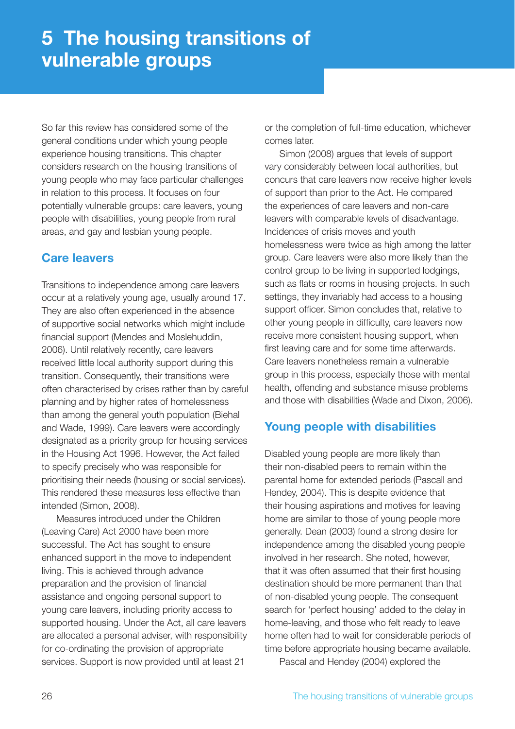So far this review has considered some of the general conditions under which young people experience housing transitions. This chapter considers research on the housing transitions of young people who may face particular challenges in relation to this process. It focuses on four potentially vulnerable groups: care leavers, young people with disabilities, young people from rural areas, and gay and lesbian young people.

# **Care leavers**

Transitions to independence among care leavers occur at a relatively young age, usually around 17. They are also often experienced in the absence of supportive social networks which might include financial support (Mendes and Moslehuddin, 2006). Until relatively recently, care leavers received little local authority support during this transition. Consequently, their transitions were often characterised by crises rather than by careful planning and by higher rates of homelessness than among the general youth population (Biehal and Wade, 1999). Care leavers were accordingly designated as a priority group for housing services in the Housing Act 1996. However, the Act failed to specify precisely who was responsible for prioritising their needs (housing or social services). This rendered these measures less effective than intended (Simon, 2008).

Measures introduced under the Children (Leaving Care) Act 2000 have been more successful. The Act has sought to ensure enhanced support in the move to independent living. This is achieved through advance preparation and the provision of financial assistance and ongoing personal support to young care leavers, including priority access to supported housing. Under the Act, all care leavers are allocated a personal adviser, with responsibility for co-ordinating the provision of appropriate services. Support is now provided until at least 21

or the completion of full-time education, whichever comes later.

Simon (2008) argues that levels of support vary considerably between local authorities, but concurs that care leavers now receive higher levels of support than prior to the Act. He compared the experiences of care leavers and non-care leavers with comparable levels of disadvantage. Incidences of crisis moves and youth homelessness were twice as high among the latter group. Care leavers were also more likely than the control group to be living in supported lodgings, such as flats or rooms in housing projects. In such settings, they invariably had access to a housing support officer. Simon concludes that, relative to other young people in difficulty, care leavers now receive more consistent housing support, when first leaving care and for some time afterwards. Care leavers nonetheless remain a vulnerable group in this process, especially those with mental health, offending and substance misuse problems and those with disabilities (Wade and Dixon, 2006).

# **Young people with disabilities**

Disabled young people are more likely than their non-disabled peers to remain within the parental home for extended periods (Pascall and Hendey, 2004). This is despite evidence that their housing aspirations and motives for leaving home are similar to those of young people more generally. Dean (2003) found a strong desire for independence among the disabled young people involved in her research. She noted, however, that it was often assumed that their first housing destination should be more permanent than that of non-disabled young people. The consequent search for 'perfect housing' added to the delay in home-leaving, and those who felt ready to leave home often had to wait for considerable periods of time before appropriate housing became available.

Pascal and Hendey (2004) explored the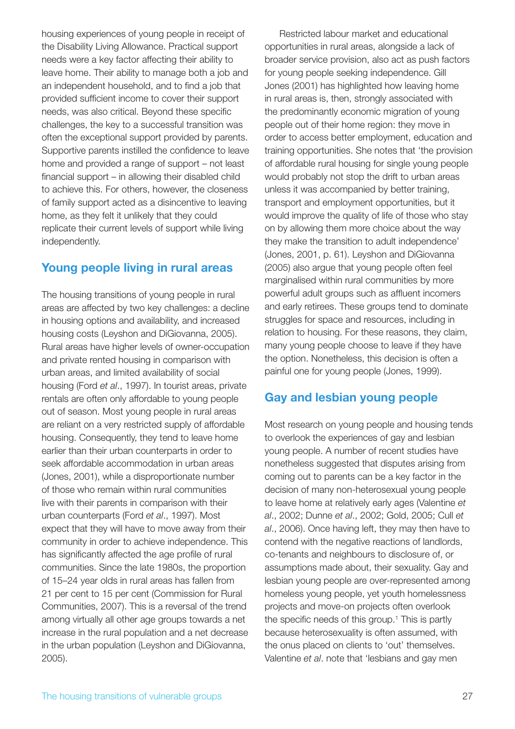housing experiences of young people in receipt of the Disability Living Allowance. Practical support needs were a key factor affecting their ability to leave home. Their ability to manage both a job and an independent household, and to find a job that provided sufficient income to cover their support needs, was also critical. Beyond these specific challenges, the key to a successful transition was often the exceptional support provided by parents. Supportive parents instilled the confidence to leave home and provided a range of support – not least financial support  $-$  in allowing their disabled child to achieve this. For others, however, the closeness of family support acted as a disincentive to leaving home, as they felt it unlikely that they could replicate their current levels of support while living independently.

# **Young people living in rural areas**

The housing transitions of young people in rural areas are affected by two key challenges: a decline in housing options and availability, and increased housing costs (Leyshon and DiGiovanna, 2005). Rural areas have higher levels of owner-occupation and private rented housing in comparison with urban areas, and limited availability of social housing (Ford *et al*., 1997). In tourist areas, private rentals are often only affordable to young people out of season. Most young people in rural areas are reliant on a very restricted supply of affordable housing. Consequently, they tend to leave home earlier than their urban counterparts in order to seek affordable accommodation in urban areas (Jones, 2001), while a disproportionate number of those who remain within rural communities live with their parents in comparison with their urban counterparts (Ford *et al*., 1997). Most expect that they will have to move away from their community in order to achieve independence. This has significantly affected the age profile of rural communities. Since the late 1980s, the proportion of 15–24 year olds in rural areas has fallen from 21 per cent to 15 per cent (Commission for Rural Communities, 2007). This is a reversal of the trend among virtually all other age groups towards a net increase in the rural population and a net decrease in the urban population (Leyshon and DiGiovanna, 2005).

Restricted labour market and educational opportunities in rural areas, alongside a lack of broader service provision, also act as push factors for young people seeking independence. Gill Jones (2001) has highlighted how leaving home in rural areas is, then, strongly associated with the predominantly economic migration of young people out of their home region: they move in order to access better employment, education and training opportunities. She notes that 'the provision of affordable rural housing for single young people would probably not stop the drift to urban areas unless it was accompanied by better training, transport and employment opportunities, but it would improve the quality of life of those who stay on by allowing them more choice about the way they make the transition to adult independence' (Jones, 2001, p. 61). Leyshon and DiGiovanna (2005) also argue that young people often feel marginalised within rural communities by more powerful adult groups such as affluent incomers and early retirees. These groups tend to dominate struggles for space and resources, including in relation to housing. For these reasons, they claim, many young people choose to leave if they have the option. Nonetheless, this decision is often a painful one for young people (Jones, 1999).

# **Gay and lesbian young people**

Most research on young people and housing tends to overlook the experiences of gay and lesbian young people. A number of recent studies have nonetheless suggested that disputes arising from coming out to parents can be a key factor in the decision of many non-heterosexual young people to leave home at relatively early ages (Valentine *et al*., 2002; Dunne *et al*., 2002; Gold, 2005; Cull *et al*., 2006). Once having left, they may then have to contend with the negative reactions of landlords, co-tenants and neighbours to disclosure of, or assumptions made about, their sexuality. Gay and lesbian young people are over-represented among homeless young people, yet youth homelessness projects and move-on projects often overlook the specific needs of this group.<sup>1</sup> This is partly because heterosexuality is often assumed, with the onus placed on clients to 'out' themselves. Valentine *et al*. note that 'lesbians and gay men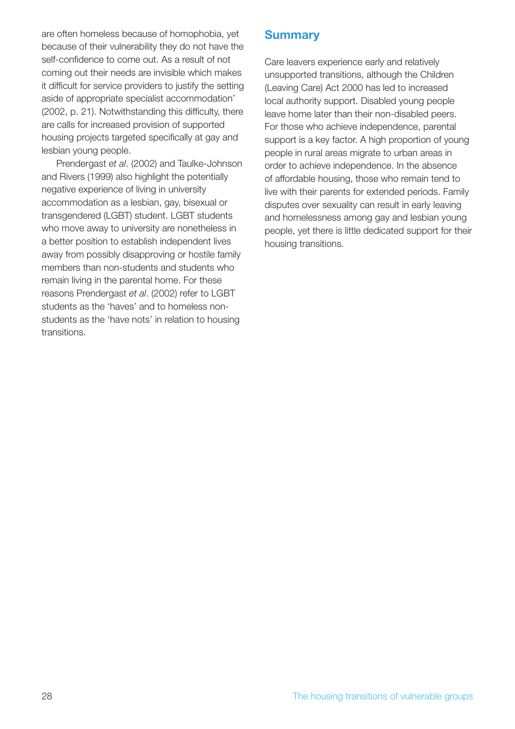are often homeless because of homophobia, yet because of their vulnerability they do not have the self-confidence to come out. As a result of not coming out their needs are invisible which makes it difficult for service providers to justify the setting aside of appropriate specialist accommodation' (2002, p. 21). Notwithstanding this difficulty, there are calls for increased provision of supported housing projects targeted specifically at gay and lesbian young people.

Prendergast *et al*. (2002) and Taulke-Johnson and Rivers (1999) also highlight the potentially negative experience of living in university accommodation as a lesbian, gay, bisexual or transgendered (LGBT) student. LGBT students who move away to university are nonetheless in a better position to establish independent lives away from possibly disapproving or hostile family members than non-students and students who remain living in the parental home. For these reasons Prendergast *et al*. (2002) refer to LGBT students as the 'haves' and to homeless nonstudents as the 'have nots' in relation to housing transitions.

# **Summary**

Care leavers experience early and relatively unsupported transitions, although the Children (Leaving Care) Act 2000 has led to increased local authority support. Disabled young people leave home later than their non-disabled peers. For those who achieve independence, parental support is a key factor. A high proportion of young people in rural areas migrate to urban areas in order to achieve independence. In the absence of affordable housing, those who remain tend to live with their parents for extended periods. Family disputes over sexuality can result in early leaving and homelessness among gay and lesbian young people, yet there is little dedicated support for their housing transitions.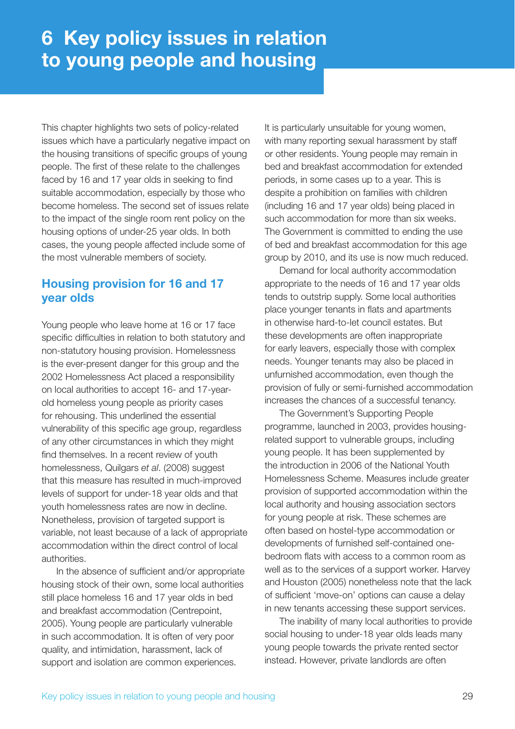This chapter highlights two sets of policy-related issues which have a particularly negative impact on the housing transitions of specific groups of young people. The first of these relate to the challenges faced by 16 and 17 year olds in seeking to find suitable accommodation, especially by those who become homeless. The second set of issues relate to the impact of the single room rent policy on the housing options of under-25 year olds. In both cases, the young people affected include some of the most vulnerable members of society.

# **Housing provision for 16 and 17 year olds**

Young people who leave home at 16 or 17 face specific difficulties in relation to both statutory and non-statutory housing provision. Homelessness is the ever-present danger for this group and the 2002 Homelessness Act placed a responsibility on local authorities to accept 16- and 17-yearold homeless young people as priority cases for rehousing. This underlined the essential vulnerability of this specific age group, regardless of any other circumstances in which they might find themselves. In a recent review of youth homelessness, Quilgars *et al*. (2008) suggest that this measure has resulted in much-improved levels of support for under-18 year olds and that youth homelessness rates are now in decline. Nonetheless, provision of targeted support is variable, not least because of a lack of appropriate accommodation within the direct control of local authorities.

In the absence of sufficient and/or appropriate housing stock of their own, some local authorities still place homeless 16 and 17 year olds in bed and breakfast accommodation (Centrepoint, 2005). Young people are particularly vulnerable in such accommodation. It is often of very poor quality, and intimidation, harassment, lack of support and isolation are common experiences.

It is particularly unsuitable for young women, with many reporting sexual harassment by staff or other residents. Young people may remain in bed and breakfast accommodation for extended periods, in some cases up to a year. This is despite a prohibition on families with children (including 16 and 17 year olds) being placed in such accommodation for more than six weeks. The Government is committed to ending the use of bed and breakfast accommodation for this age group by 2010, and its use is now much reduced.

Demand for local authority accommodation appropriate to the needs of 16 and 17 year olds tends to outstrip supply. Some local authorities place younger tenants in flats and apartments in otherwise hard-to-let council estates. But these developments are often inappropriate for early leavers, especially those with complex needs. Younger tenants may also be placed in unfurnished accommodation, even though the provision of fully or semi-furnished accommodation increases the chances of a successful tenancy.

The Government's Supporting People programme, launched in 2003, provides housingrelated support to vulnerable groups, including young people. It has been supplemented by the introduction in 2006 of the National Youth Homelessness Scheme. Measures include greater provision of supported accommodation within the local authority and housing association sectors for young people at risk. These schemes are often based on hostel-type accommodation or developments of furnished self-contained onebedroom flats with access to a common room as well as to the services of a support worker. Harvey and Houston (2005) nonetheless note that the lack of sufficient 'move-on' options can cause a delay in new tenants accessing these support services.

The inability of many local authorities to provide social housing to under-18 year olds leads many young people towards the private rented sector instead. However, private landlords are often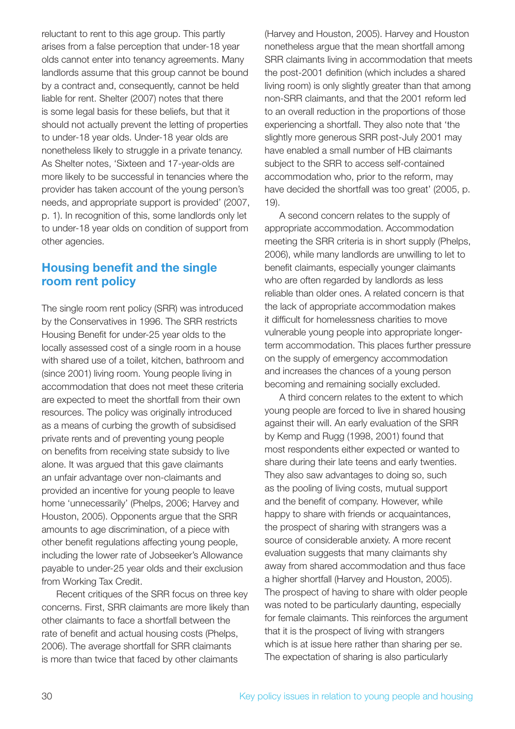reluctant to rent to this age group. This partly arises from a false perception that under-18 year olds cannot enter into tenancy agreements. Many landlords assume that this group cannot be bound by a contract and, consequently, cannot be held liable for rent. Shelter (2007) notes that there is some legal basis for these beliefs, but that it should not actually prevent the letting of properties to under-18 year olds. Under-18 year olds are nonetheless likely to struggle in a private tenancy. As Shelter notes, 'Sixteen and 17-year-olds are more likely to be successful in tenancies where the provider has taken account of the young person's needs, and appropriate support is provided' (2007, p. 1). In recognition of this, some landlords only let to under-18 year olds on condition of support from other agencies.

### **Housing benefit and the single room rent policy**

The single room rent policy (SRR) was introduced by the Conservatives in 1996. The SRR restricts Housing Benefit for under-25 year olds to the locally assessed cost of a single room in a house with shared use of a toilet, kitchen, bathroom and (since 2001) living room. Young people living in accommodation that does not meet these criteria are expected to meet the shortfall from their own resources. The policy was originally introduced as a means of curbing the growth of subsidised private rents and of preventing young people on benefits from receiving state subsidy to live alone. It was argued that this gave claimants an unfair advantage over non-claimants and provided an incentive for young people to leave home 'unnecessarily' (Phelps, 2006; Harvey and Houston, 2005). Opponents argue that the SRR amounts to age discrimination, of a piece with other benefit regulations affecting young people, including the lower rate of Jobseeker's Allowance payable to under-25 year olds and their exclusion from Working Tax Credit.

Recent critiques of the SRR focus on three key concerns. First, SRR claimants are more likely than other claimants to face a shortfall between the rate of benefit and actual housing costs (Phelps, 2006). The average shortfall for SRR claimants is more than twice that faced by other claimants

(Harvey and Houston, 2005). Harvey and Houston nonetheless argue that the mean shortfall among SRR claimants living in accommodation that meets the post-2001 definition (which includes a shared living room) is only slightly greater than that among non-SRR claimants, and that the 2001 reform led to an overall reduction in the proportions of those experiencing a shortfall. They also note that 'the slightly more generous SRR post-July 2001 may have enabled a small number of HB claimants subject to the SRR to access self-contained accommodation who, prior to the reform, may have decided the shortfall was too great' (2005, p. 19).

A second concern relates to the supply of appropriate accommodation. Accommodation meeting the SRR criteria is in short supply (Phelps, 2006), while many landlords are unwilling to let to benefit claimants, especially younger claimants who are often regarded by landlords as less reliable than older ones. A related concern is that the lack of appropriate accommodation makes it difficult for homelessness charities to move vulnerable young people into appropriate longerterm accommodation. This places further pressure on the supply of emergency accommodation and increases the chances of a young person becoming and remaining socially excluded.

A third concern relates to the extent to which young people are forced to live in shared housing against their will. An early evaluation of the SRR by Kemp and Rugg (1998, 2001) found that most respondents either expected or wanted to share during their late teens and early twenties. They also saw advantages to doing so, such as the pooling of living costs, mutual support and the benefit of company. However, while happy to share with friends or acquaintances, the prospect of sharing with strangers was a source of considerable anxiety. A more recent evaluation suggests that many claimants shy away from shared accommodation and thus face a higher shortfall (Harvey and Houston, 2005). The prospect of having to share with older people was noted to be particularly daunting, especially for female claimants. This reinforces the argument that it is the prospect of living with strangers which is at issue here rather than sharing per se. The expectation of sharing is also particularly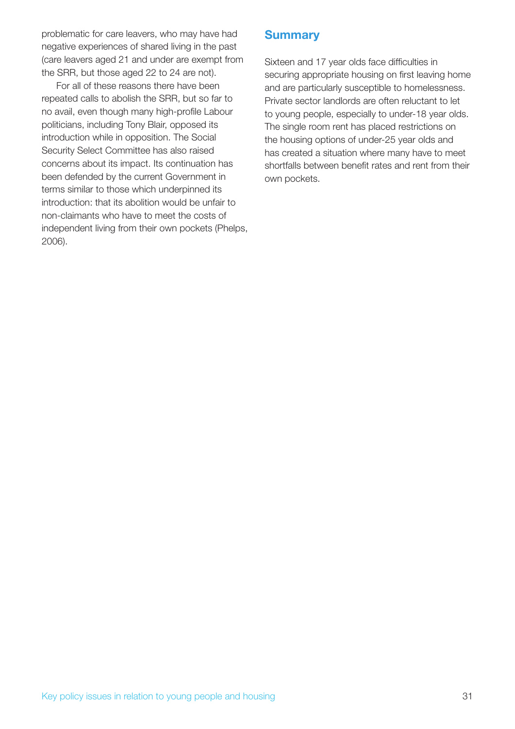problematic for care leavers, who may have had negative experiences of shared living in the past (care leavers aged 21 and under are exempt from the SRR, but those aged 22 to 24 are not).

For all of these reasons there have been repeated calls to abolish the SRR, but so far to no avail, even though many high-profile Labour politicians, including Tony Blair, opposed its introduction while in opposition. The Social Security Select Committee has also raised concerns about its impact. Its continuation has been defended by the current Government in terms similar to those which underpinned its introduction: that its abolition would be unfair to non-claimants who have to meet the costs of independent living from their own pockets (Phelps, 2006).

# **Summary**

Sixteen and 17 year olds face difficulties in securing appropriate housing on first leaving home and are particularly susceptible to homelessness. Private sector landlords are often reluctant to let to young people, especially to under-18 year olds. The single room rent has placed restrictions on the housing options of under-25 year olds and has created a situation where many have to meet shortfalls between benefit rates and rent from their own pockets.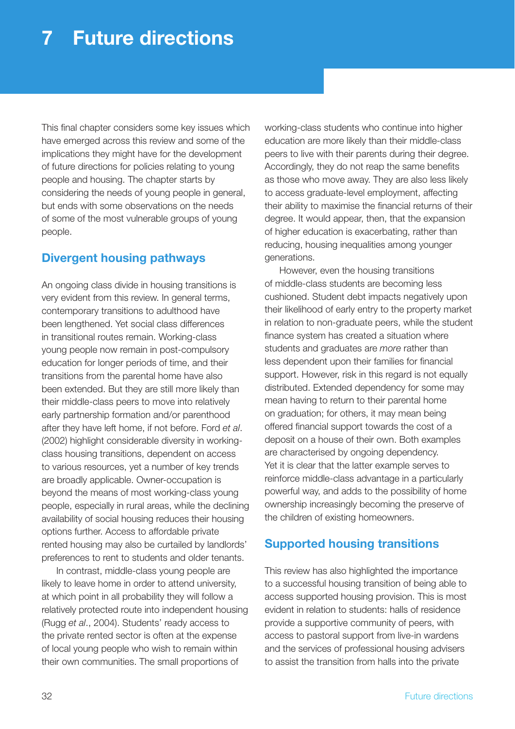This final chapter considers some key issues which have emerged across this review and some of the implications they might have for the development of future directions for policies relating to young people and housing. The chapter starts by considering the needs of young people in general, but ends with some observations on the needs of some of the most vulnerable groups of young people.

#### **Divergent housing pathways**

An ongoing class divide in housing transitions is very evident from this review. In general terms, contemporary transitions to adulthood have been lengthened. Yet social class differences in transitional routes remain. Working-class young people now remain in post-compulsory education for longer periods of time, and their transitions from the parental home have also been extended. But they are still more likely than their middle-class peers to move into relatively early partnership formation and/or parenthood after they have left home, if not before. Ford *et al*. (2002) highlight considerable diversity in workingclass housing transitions, dependent on access to various resources, yet a number of key trends are broadly applicable. Owner-occupation is beyond the means of most working-class young people, especially in rural areas, while the declining availability of social housing reduces their housing options further. Access to affordable private rented housing may also be curtailed by landlords' preferences to rent to students and older tenants.

In contrast, middle-class young people are likely to leave home in order to attend university, at which point in all probability they will follow a relatively protected route into independent housing (Rugg *et al*., 2004). Students' ready access to the private rented sector is often at the expense of local young people who wish to remain within their own communities. The small proportions of

working-class students who continue into higher education are more likely than their middle-class peers to live with their parents during their degree. Accordingly, they do not reap the same benefits as those who move away. They are also less likely to access graduate-level employment, affecting their ability to maximise the financial returns of their degree. It would appear, then, that the expansion of higher education is exacerbating, rather than reducing, housing inequalities among younger generations.

However, even the housing transitions of middle-class students are becoming less cushioned. Student debt impacts negatively upon their likelihood of early entry to the property market in relation to non-graduate peers, while the student finance system has created a situation where students and graduates are *more* rather than less dependent upon their families for financial support. However, risk in this regard is not equally distributed. Extended dependency for some may mean having to return to their parental home on graduation; for others, it may mean being offered financial support towards the cost of a deposit on a house of their own. Both examples are characterised by ongoing dependency. Yet it is clear that the latter example serves to reinforce middle-class advantage in a particularly powerful way, and adds to the possibility of home ownership increasingly becoming the preserve of the children of existing homeowners.

#### **Supported housing transitions**

This review has also highlighted the importance to a successful housing transition of being able to access supported housing provision. This is most evident in relation to students: halls of residence provide a supportive community of peers, with access to pastoral support from live-in wardens and the services of professional housing advisers to assist the transition from halls into the private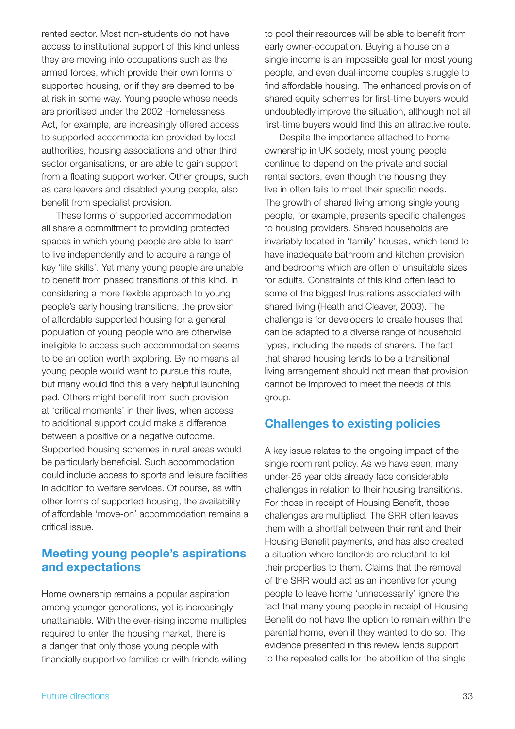rented sector. Most non-students do not have access to institutional support of this kind unless they are moving into occupations such as the armed forces, which provide their own forms of supported housing, or if they are deemed to be at risk in some way. Young people whose needs are prioritised under the 2002 Homelessness Act, for example, are increasingly offered access to supported accommodation provided by local authorities, housing associations and other third sector organisations, or are able to gain support from a floating support worker. Other groups, such as care leavers and disabled young people, also benefit from specialist provision.

These forms of supported accommodation all share a commitment to providing protected spaces in which young people are able to learn to live independently and to acquire a range of key 'life skills'. Yet many young people are unable to benefit from phased transitions of this kind. In considering a more flexible approach to young people's early housing transitions, the provision of affordable supported housing for a general population of young people who are otherwise ineligible to access such accommodation seems to be an option worth exploring. By no means all young people would want to pursue this route, but many would find this a very helpful launching pad. Others might benefit from such provision at 'critical moments' in their lives, when access to additional support could make a difference between a positive or a negative outcome. Supported housing schemes in rural areas would be particularly beneficial. Such accommodation could include access to sports and leisure facilities in addition to welfare services. Of course, as with other forms of supported housing, the availability of affordable 'move-on' accommodation remains a critical issue.

# **Meeting young people's aspirations and expectations**

Home ownership remains a popular aspiration among younger generations, yet is increasingly unattainable. With the ever-rising income multiples required to enter the housing market, there is a danger that only those young people with financially supportive families or with friends willing to pool their resources will be able to benefit from early owner-occupation. Buying a house on a single income is an impossible goal for most young people, and even dual-income couples struggle to find affordable housing. The enhanced provision of shared equity schemes for first-time buyers would undoubtedly improve the situation, although not all first-time buyers would find this an attractive route.

Despite the importance attached to home ownership in UK society, most young people continue to depend on the private and social rental sectors, even though the housing they live in often fails to meet their specific needs. The growth of shared living among single young people, for example, presents specific challenges to housing providers. Shared households are invariably located in 'family' houses, which tend to have inadequate bathroom and kitchen provision, and bedrooms which are often of unsuitable sizes for adults. Constraints of this kind often lead to some of the biggest frustrations associated with shared living (Heath and Cleaver, 2003). The challenge is for developers to create houses that can be adapted to a diverse range of household types, including the needs of sharers. The fact that shared housing tends to be a transitional living arrangement should not mean that provision cannot be improved to meet the needs of this group.

# **Challenges to existing policies**

A key issue relates to the ongoing impact of the single room rent policy. As we have seen, many under-25 year olds already face considerable challenges in relation to their housing transitions. For those in receipt of Housing Benefit, those challenges are multiplied. The SRR often leaves them with a shortfall between their rent and their Housing Benefit payments, and has also created a situation where landlords are reluctant to let their properties to them. Claims that the removal of the SRR would act as an incentive for young people to leave home 'unnecessarily' ignore the fact that many young people in receipt of Housing Benefit do not have the option to remain within the parental home, even if they wanted to do so. The evidence presented in this review lends support to the repeated calls for the abolition of the single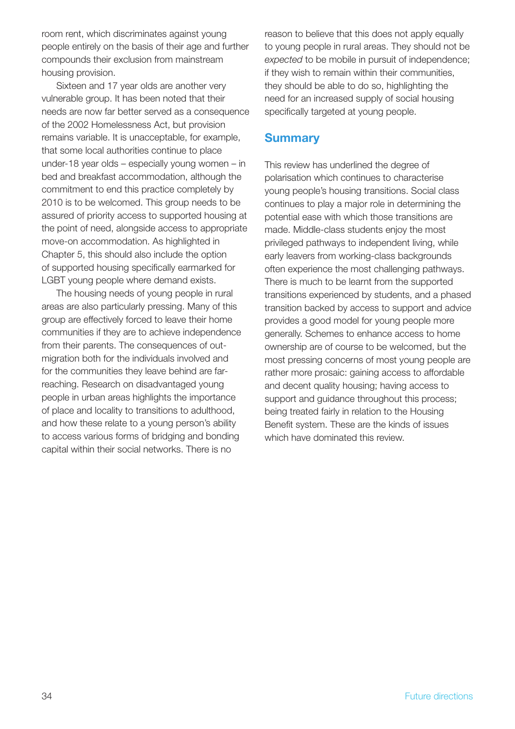room rent, which discriminates against young people entirely on the basis of their age and further compounds their exclusion from mainstream housing provision.

Sixteen and 17 year olds are another very vulnerable group. It has been noted that their needs are now far better served as a consequence of the 2002 Homelessness Act, but provision remains variable. It is unacceptable, for example, that some local authorities continue to place under-18 year olds – especially young women – in bed and breakfast accommodation, although the commitment to end this practice completely by 2010 is to be welcomed. This group needs to be assured of priority access to supported housing at the point of need, alongside access to appropriate move-on accommodation. As highlighted in Chapter 5, this should also include the option of supported housing specifically earmarked for LGBT young people where demand exists.

The housing needs of young people in rural areas are also particularly pressing. Many of this group are effectively forced to leave their home communities if they are to achieve independence from their parents. The consequences of outmigration both for the individuals involved and for the communities they leave behind are farreaching. Research on disadvantaged young people in urban areas highlights the importance of place and locality to transitions to adulthood, and how these relate to a young person's ability to access various forms of bridging and bonding capital within their social networks. There is no

reason to believe that this does not apply equally to young people in rural areas. They should not be *expected* to be mobile in pursuit of independence; if they wish to remain within their communities, they should be able to do so, highlighting the need for an increased supply of social housing specifically targeted at young people.

#### **Summary**

This review has underlined the degree of polarisation which continues to characterise young people's housing transitions. Social class continues to play a major role in determining the potential ease with which those transitions are made. Middle-class students enjoy the most privileged pathways to independent living, while early leavers from working-class backgrounds often experience the most challenging pathways. There is much to be learnt from the supported transitions experienced by students, and a phased transition backed by access to support and advice provides a good model for young people more generally. Schemes to enhance access to home ownership are of course to be welcomed, but the most pressing concerns of most young people are rather more prosaic: gaining access to affordable and decent quality housing; having access to support and guidance throughout this process; being treated fairly in relation to the Housing Benefit system. These are the kinds of issues which have dominated this review.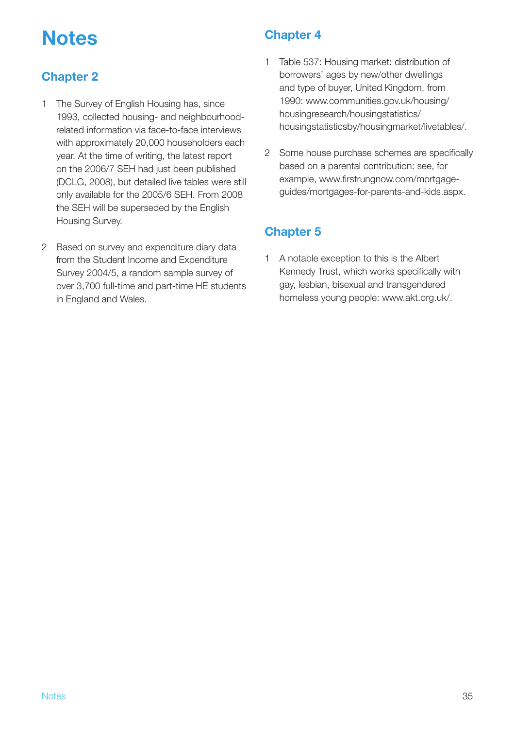# **Notes**

# **Chapter 2**

- 1 The Survey of English Housing has, since 1993, collected housing- and neighbourhoodrelated information via face-to-face interviews with approximately 20,000 householders each year. At the time of writing, the latest report on the 2006/7 SEH had just been published (DCLG, 2008), but detailed live tables were still only available for the 2005/6 SEH. From 2008 the SEH will be superseded by the English Housing Survey.
- 2 Based on survey and expenditure diary data from the Student Income and Expenditure Survey 2004/5, a random sample survey of over 3,700 full-time and part-time HE students in England and Wales.

# **Chapter 4**

- 1 Table 537: Housing market: distribution of borrowers' ages by new/other dwellings and type of buyer, United Kingdom, from 1990: www.communities.gov.uk/housing/ housingresearch/housingstatistics/ housingstatisticsby/housingmarket/livetables/.
- 2 Some house purchase schemes are specifically based on a parental contribution: see, for example, www.firstrungnow.com/mortgageguides/mortgages-for-parents-and-kids.aspx.

# **Chapter 5**

1 A notable exception to this is the Albert Kennedy Trust, which works specifically with gay, lesbian, bisexual and transgendered homeless young people: www.akt.org.uk/.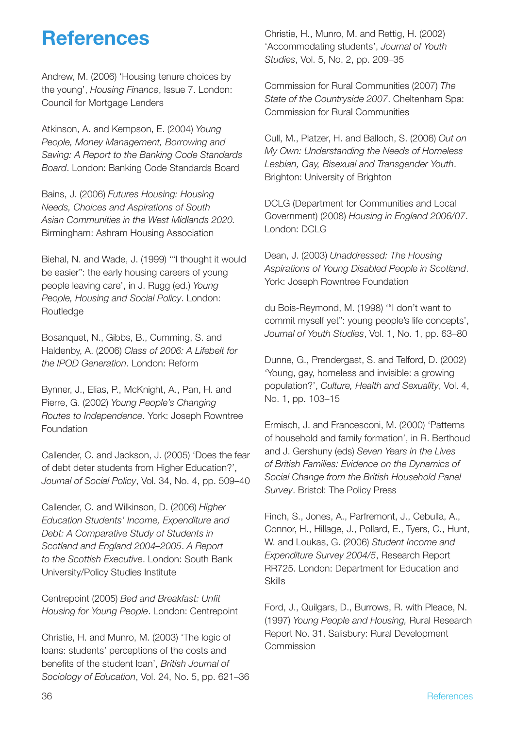# **References**

Andrew, M. (2006) 'Housing tenure choices by the young', *Housing Finance*, Issue 7. London: Council for Mortgage Lenders

Atkinson, A. and Kempson, E. (2004) *Young People, Money Management, Borrowing and Saving: A Report to the Banking Code Standards Board*. London: Banking Code Standards Board

Bains, J. (2006) *Futures Housing: Housing Needs, Choices and Aspirations of South Asian Communities in the West Midlands 2020.* Birmingham: Ashram Housing Association

Biehal, N. and Wade, J. (1999) '"I thought it would be easier": the early housing careers of young people leaving care', in J. Rugg (ed.) *Young People, Housing and Social Policy*. London: Routledge

Bosanquet, N., Gibbs, B., Cumming, S. and Haldenby, A. (2006) *Class of 2006: A Lifebelt for the IPOD Generation*. London: Reform

Bynner, J., Elias, P., McKnight, A., Pan, H. and Pierre, G. (2002) *Young People's Changing Routes to Independence*. York: Joseph Rowntree Foundation

Callender, C. and Jackson, J. (2005) 'Does the fear of debt deter students from Higher Education?', *Journal of Social Policy*, Vol. 34, No. 4, pp. 509–40

Callender, C. and Wilkinson, D. (2006) *Higher Education Students' Income, Expenditure and Debt: A Comparative Study of Students in Scotland and England 2004–2005*. *A Report to the Scottish Executive*. London: South Bank University/Policy Studies Institute

Centrepoint (2005) *Bed and Breakfast: Unfit Housing for Young People*. London: Centrepoint

Christie, H. and Munro, M. (2003) 'The logic of loans: students' perceptions of the costs and benefits of the student loan', *British Journal of Sociology of Education*, Vol. 24, No. 5, pp. 621–36 Christie, H., Munro, M. and Rettig, H. (2002) 'Accommodating students', *Journal of Youth Studies*, Vol. 5, No. 2, pp. 209–35

Commission for Rural Communities (2007) *The State of the Countryside 2007*. Cheltenham Spa: Commission for Rural Communities

Cull, M., Platzer, H. and Balloch, S. (2006) *Out on My Own: Understanding the Needs of Homeless Lesbian, Gay, Bisexual and Transgender Youth*. Brighton: University of Brighton

DCLG (Department for Communities and Local Government) (2008) *Housing in England 2006/07*. London: DCLG

Dean, J. (2003) *Unaddressed: The Housing Aspirations of Young Disabled People in Scotland*. York: Joseph Rowntree Foundation

du Bois-Reymond, M. (1998) '"I don't want to commit myself yet": young people's life concepts', *Journal of Youth Studies*, Vol. 1, No. 1, pp. 63–80

Dunne, G., Prendergast, S. and Telford, D. (2002) 'Young, gay, homeless and invisible: a growing population?', *Culture, Health and Sexuality*, Vol. 4, No. 1, pp. 103–15

Ermisch, J. and Francesconi, M. (2000) 'Patterns of household and family formation', in R. Berthoud and J. Gershuny (eds) *Seven Years in the Lives of British Families: Evidence on the Dynamics of Social Change from the British Household Panel Survey*. Bristol: The Policy Press

Finch, S., Jones, A., Parfremont, J., Cebulla, A., Connor, H., Hillage, J., Pollard, E., Tyers, C., Hunt, W. and Loukas, G. (2006) *Student Income and Expenditure Survey 2004/5*, Research Report RR725. London: Department for Education and Skills

Ford, J., Quilgars, D., Burrows, R. with Pleace, N. (1997) *Young People and Housing,* Rural Research Report No. 31. Salisbury: Rural Development Commission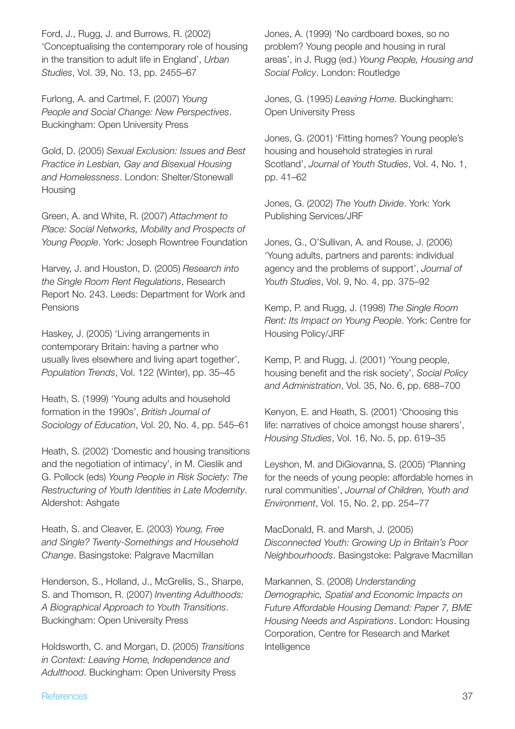Ford, J., Rugg, J. and Burrows, R. (2002) 'Conceptualising the contemporary role of housing in the transition to adult life in England', *Urban Studies*, Vol. 39, No. 13, pp. 2455–67

Furlong, A. and Cartmel, F. (2007) *Young People and Social Change: New Perspectives*. Buckingham: Open University Press

Gold, D. (2005) *Sexual Exclusion: Issues and Best Practice in Lesbian, Gay and Bisexual Housing and Homelessness*. London: Shelter/Stonewall **Housing** 

Green, A. and White, R. (2007) *Attachment to Place: Social Networks, Mobility and Prospects of Young People*. York: Joseph Rowntree Foundation

Harvey, J. and Houston, D. (2005) *Research into the Single Room Rent Regulations*, Research Report No. 243. Leeds: Department for Work and Pensions

Haskey, J. (2005) 'Living arrangements in contemporary Britain: having a partner who usually lives elsewhere and living apart together', *Population Trends*, Vol. 122 (Winter), pp. 35–45

Heath, S. (1999) 'Young adults and household formation in the 1990s', *British Journal of Sociology of Education*, Vol. 20, No. 4, pp. 545–61

Heath, S. (2002) 'Domestic and housing transitions and the negotiation of intimacy', in M. Cieslik and G. Pollock (eds) *Young People in Risk Society: The Restructuring of Youth Identities in Late Modernity*. Aldershot: Ashgate

Heath, S. and Cleaver, E. (2003) *Young, Free and Single? Twenty-Somethings and Household Change*. Basingstoke: Palgrave Macmillan

Henderson, S., Holland, J., McGrellis, S., Sharpe, S. and Thomson, R. (2007) *Inventing Adulthoods: A Biographical Approach to Youth Transitions*. Buckingham: Open University Press

Holdsworth, C. and Morgan, D. (2005) *Transitions in Context: Leaving Home, Independence and Adulthood*. Buckingham: Open University Press

Jones, A. (1999) 'No cardboard boxes, so no problem? Young people and housing in rural areas', in J. Rugg (ed.) *Young People, Housing and Social Policy*. London: Routledge

Jones, G. (1995) *Leaving Home*. Buckingham: Open University Press

Jones, G. (2001) 'Fitting homes? Young people's housing and household strategies in rural Scotland', *Journal of Youth Studies*, Vol. 4, No. 1, pp. 41–62

Jones, G. (2002) *The Youth Divide*. York: York Publishing Services/JRF

Jones, G., O'Sullivan, A. and Rouse, J. (2006) 'Young adults, partners and parents: individual agency and the problems of support', *Journal of Youth Studies*, Vol. 9, No. 4, pp. 375–92

Kemp, P. and Rugg, J. (1998) *The Single Room Rent: Its Impact on Young People*. York: Centre for Housing Policy/JRF

Kemp, P. and Rugg, J. (2001) 'Young people, housing benefit and the risk society', Social Policy *and Administration*, Vol. 35, No. 6, pp. 688–700

Kenyon, E. and Heath, S. (2001) 'Choosing this life: narratives of choice amongst house sharers', *Housing Studies*, Vol. 16, No. 5, pp. 619–35

Leyshon, M. and DiGiovanna, S. (2005) 'Planning for the needs of young people: affordable homes in rural communities', *Journal of Children, Youth and Environment*, Vol. 15, No. 2, pp. 254–77

MacDonald, R. and Marsh, J. (2005) *Disconnected Youth: Growing Up in Britain's Poor Neighbourhoods*. Basingstoke: Palgrave Macmillan

Markannen, S. (2008) *Understanding Demographic, Spatial and Economic Impacts on Future Affordable Housing Demand: Paper 7, BME Housing Needs and Aspirations*. London: Housing Corporation, Centre for Research and Market Intelligence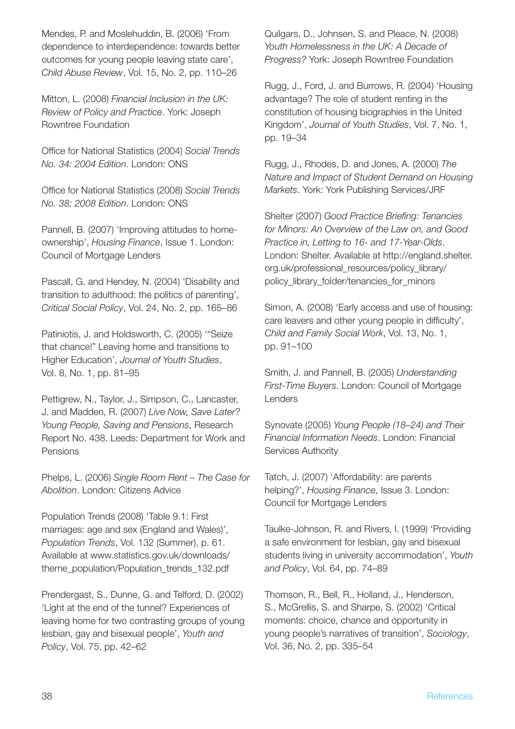Mendes, P. and Moslehuddin, B. (2006) 'From dependence to interdependence: towards better outcomes for young people leaving state care', *Child Abuse Review*, Vol. 15, No. 2, pp. 110–26

Mitton, L. (2008) *Financial Inclusion in the UK: Review of Policy and Practice*. York: Joseph Rowntree Foundation

Office for National Statistics (2004) Social Trends *No. 34: 2004 Edition*. London: ONS

Office for National Statistics (2008) Social Trends *No. 38: 2008 Edition*. London: ONS

Pannell, B. (2007) 'Improving attitudes to homeownership', *Housing Finance*, Issue 1. London: Council of Mortgage Lenders

Pascall, G. and Hendey, N. (2004) 'Disability and transition to adulthood: the politics of parenting', *Critical Social Policy*, Vol. 24, No. 2, pp. 165–86

Patiniotis, J. and Holdsworth, C. (2005) '"Seize that chance!" Leaving home and transitions to Higher Education', *Journal of Youth Studies*, Vol. 8, No. 1, pp. 81–95

Pettigrew, N., Taylor, J., Simpson, C., Lancaster, J. and Madden, R. (2007) *Live Now, Save Later? Young People, Saving and Pensions*, Research Report No. 438. Leeds: Department for Work and Pensions

Phelps, L. (2006) *Single Room Rent – The Case for Abolition*. London: Citizens Advice

Population Trends (2008) 'Table 9.1: First marriages: age and sex (England and Wales)', *Population Trends*, Vol. 132 (Summer), p. 61. Available at www.statistics.gov.uk/downloads/ theme\_population/Population\_trends\_132.pdf

Prendergast, S., Dunne, G. and Telford, D. (2002) 'Light at the end of the tunnel? Experiences of leaving home for two contrasting groups of young lesbian, gay and bisexual people', *Youth and Policy*, Vol. 75, pp. 42–62

Quilgars, D., Johnsen, S. and Pleace, N. (2008) *Youth Homelessness in the UK: A Decade of Progress?* York: Joseph Rowntree Foundation

Rugg, J., Ford, J. and Burrows, R. (2004) 'Housing advantage? The role of student renting in the constitution of housing biographies in the United Kingdom', *Journal of Youth Studies*, Vol. 7, No. 1, pp. 19–34

Rugg, J., Rhodes, D. and Jones, A. (2000) *The Nature and Impact of Student Demand on Housing Markets*. York: York Publishing Services/JRF

Shelter (2007) *Good Practice Briefing: Tenancies for Minors: An Overview of the Law on, and Good Practice in, Letting to 16- and 17-Year-Olds*. London: Shelter. Available at http://england.shelter. org.uk/professional\_resources/policy\_library/ policy\_library\_folder/tenancies\_for\_minors

Simon, A. (2008) 'Early access and use of housing: care leavers and other young people in difficulty'. *Child and Family Social Work*, Vol. 13, No. 1, pp. 91–100

Smith, J. and Pannell, B. (2005) *Understanding First-Time Buyers*. London: Council of Mortgage Lenders

Synovate (2005) *Young People (18–24) and Their Financial Information Needs*. London: Financial Services Authority

Tatch, J. (2007) 'Affordability: are parents helping?', *Housing Finance*, Issue 3. London: Council for Mortgage Lenders

Taulke-Johnson, R. and Rivers, I. (1999) 'Providing a safe environment for lesbian, gay and bisexual students living in university accommodation', *Youth and Policy*, Vol. 64, pp. 74–89

Thomson, R., Bell, R., Holland, J., Henderson, S., McGrellis, S. and Sharpe, S. (2002) 'Critical moments: choice, chance and opportunity in young people's narratives of transition', *Sociology*, Vol. 36, No. 2, pp. 335–54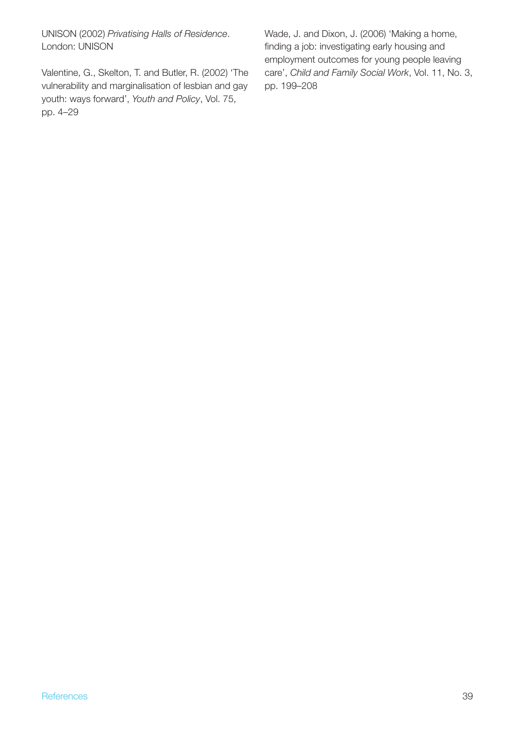UNISON (2002) *Privatising Halls of Residence*. London: UNISON

Valentine, G., Skelton, T. and Butler, R. (2002) 'The vulnerability and marginalisation of lesbian and gay youth: ways forward', *Youth and Policy*, Vol. 75, pp. 4–29

Wade, J. and Dixon, J. (2006) 'Making a home, finding a job: investigating early housing and employment outcomes for young people leaving care', *Child and Family Social Work*, Vol. 11, No. 3, pp. 199–208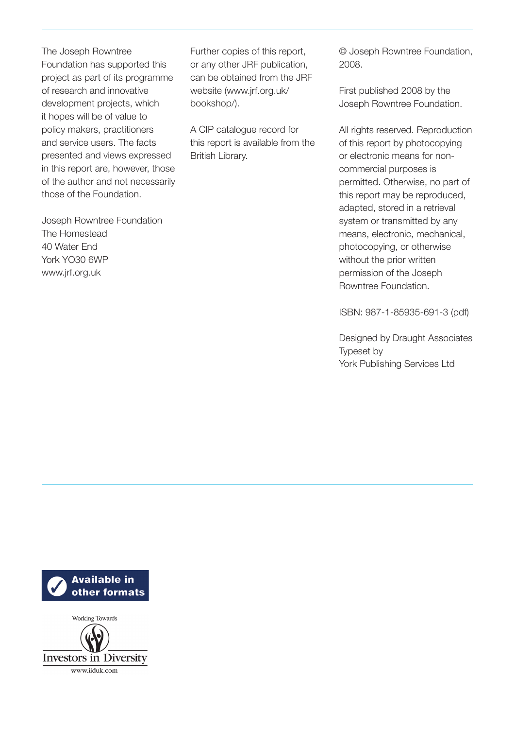The Joseph Rowntree Foundation has supported this project as part of its programme of research and innovative development projects, which it hopes will be of value to policy makers, practitioners and service users. The facts presented and views expressed in this report are, however, those of the author and not necessarily those of the Foundation.

Joseph Rowntree Foundation The Homestead 40 Water End York YO30 6WP www.jrf.org.uk

Further copies of this report, or any other JRF publication, can be obtained from the JRF website (www.jrf.org.uk/ bookshop/).

A CIP catalogue record for this report is available from the British Library.

© Joseph Rowntree Foundation, 2008.

First published 2008 by the Joseph Rowntree Foundation.

All rights reserved. Reproduction of this report by photocopying or electronic means for noncommercial purposes is permitted. Otherwise, no part of this report may be reproduced, adapted, stored in a retrieval system or transmitted by any means, electronic, mechanical, photocopying, or otherwise without the prior written permission of the Joseph Rowntree Foundation.

ISBN: 987-1-85935-691-3 (pdf)

Designed by Draught Associates Typeset by York Publishing Services Ltd